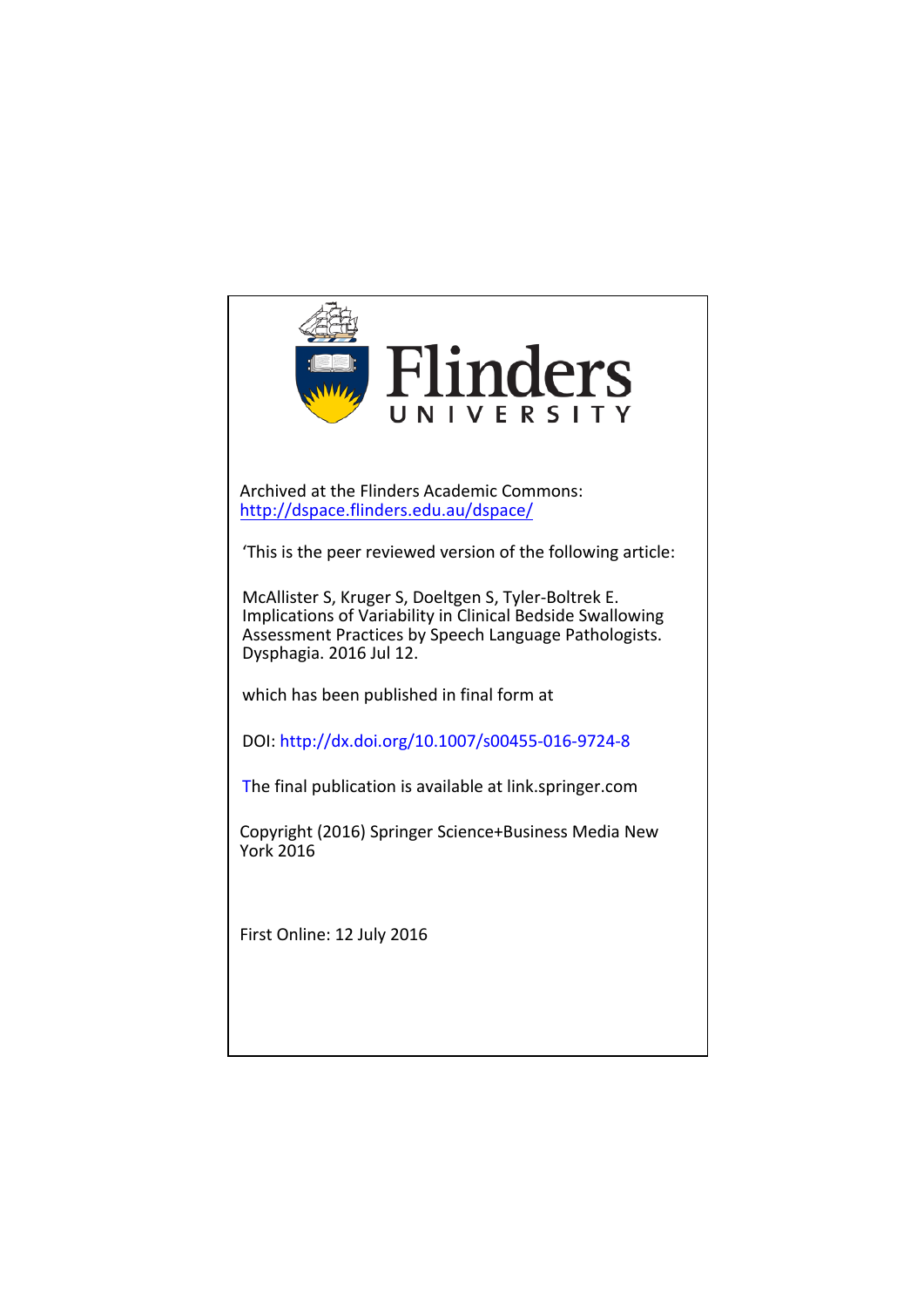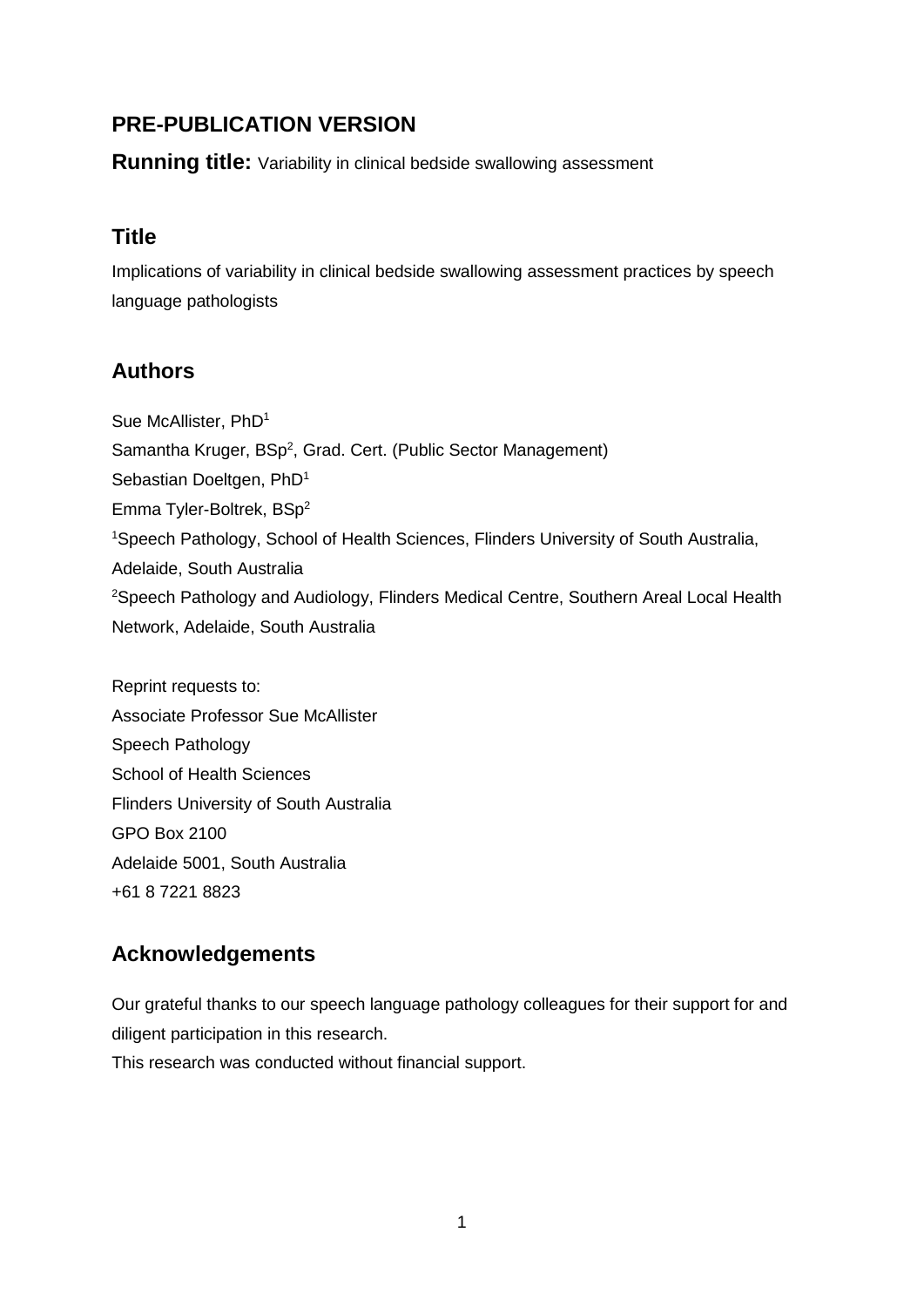# **PRE-PUBLICATION VERSION**

**Running title:** Variability in clinical bedside swallowing assessment

## **Title**

Implications of variability in clinical bedside swallowing assessment practices by speech language pathologists

# **Authors**

Sue McAllister, PhD1 Samantha Kruger, BSp<sup>2</sup>, Grad. Cert. (Public Sector Management) Sebastian Doeltgen, PhD<sup>1</sup> Emma Tyler-Boltrek, BSp2 <sup>1</sup>Speech Pathology, School of Health Sciences, Flinders University of South Australia, Adelaide, South Australia <sup>2</sup>Speech Pathology and Audiology, Flinders Medical Centre, Southern Areal Local Health Network, Adelaide, South Australia

Reprint requests to: Associate Professor Sue McAllister Speech Pathology School of Health Sciences Flinders University of South Australia GPO Box 2100 Adelaide 5001, South Australia +61 8 7221 8823

# **Acknowledgements**

Our grateful thanks to our speech language pathology colleagues for their support for and diligent participation in this research.

This research was conducted without financial support.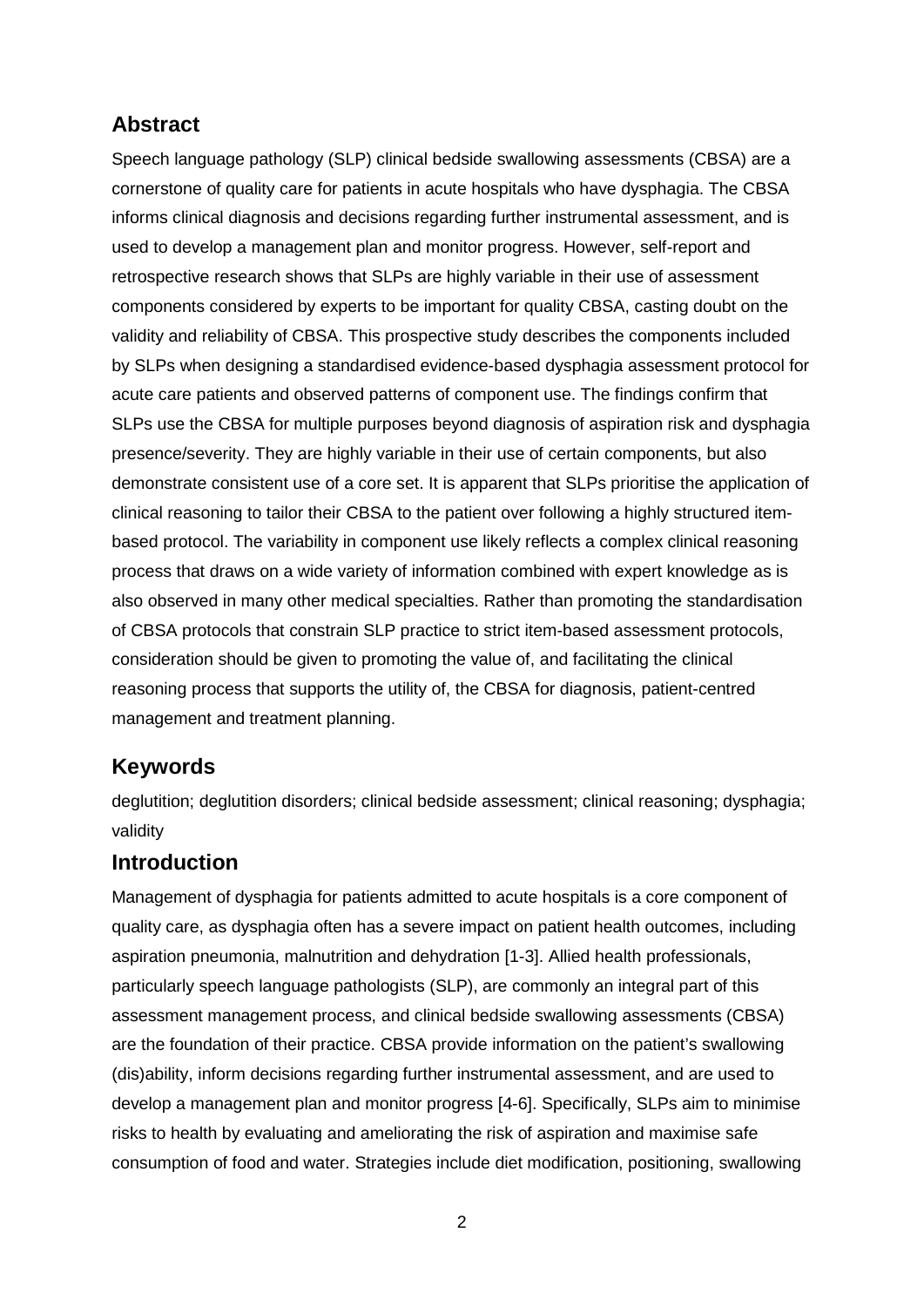## **Abstract**

Speech language pathology (SLP) clinical bedside swallowing assessments (CBSA) are a cornerstone of quality care for patients in acute hospitals who have dysphagia. The CBSA informs clinical diagnosis and decisions regarding further instrumental assessment, and is used to develop a management plan and monitor progress. However, self-report and retrospective research shows that SLPs are highly variable in their use of assessment components considered by experts to be important for quality CBSA, casting doubt on the validity and reliability of CBSA. This prospective study describes the components included by SLPs when designing a standardised evidence-based dysphagia assessment protocol for acute care patients and observed patterns of component use. The findings confirm that SLPs use the CBSA for multiple purposes beyond diagnosis of aspiration risk and dysphagia presence/severity. They are highly variable in their use of certain components, but also demonstrate consistent use of a core set. It is apparent that SLPs prioritise the application of clinical reasoning to tailor their CBSA to the patient over following a highly structured itembased protocol. The variability in component use likely reflects a complex clinical reasoning process that draws on a wide variety of information combined with expert knowledge as is also observed in many other medical specialties. Rather than promoting the standardisation of CBSA protocols that constrain SLP practice to strict item-based assessment protocols, consideration should be given to promoting the value of, and facilitating the clinical reasoning process that supports the utility of, the CBSA for diagnosis, patient-centred management and treatment planning.

# **Keywords**

deglutition; deglutition disorders; clinical bedside assessment; clinical reasoning; dysphagia; validity

## **Introduction**

Management of dysphagia for patients admitted to acute hospitals is a core component of quality care, as dysphagia often has a severe impact on patient health outcomes, including aspiration pneumonia, malnutrition and dehydration [1-3]. Allied health professionals, particularly speech language pathologists (SLP), are commonly an integral part of this assessment management process, and clinical bedside swallowing assessments (CBSA) are the foundation of their practice. CBSA provide information on the patient's swallowing (dis)ability, inform decisions regarding further instrumental assessment, and are used to develop a management plan and monitor progress [4-6]. Specifically, SLPs aim to minimise risks to health by evaluating and ameliorating the risk of aspiration and maximise safe consumption of food and water. Strategies include diet modification, positioning, swallowing

<sup>2</sup>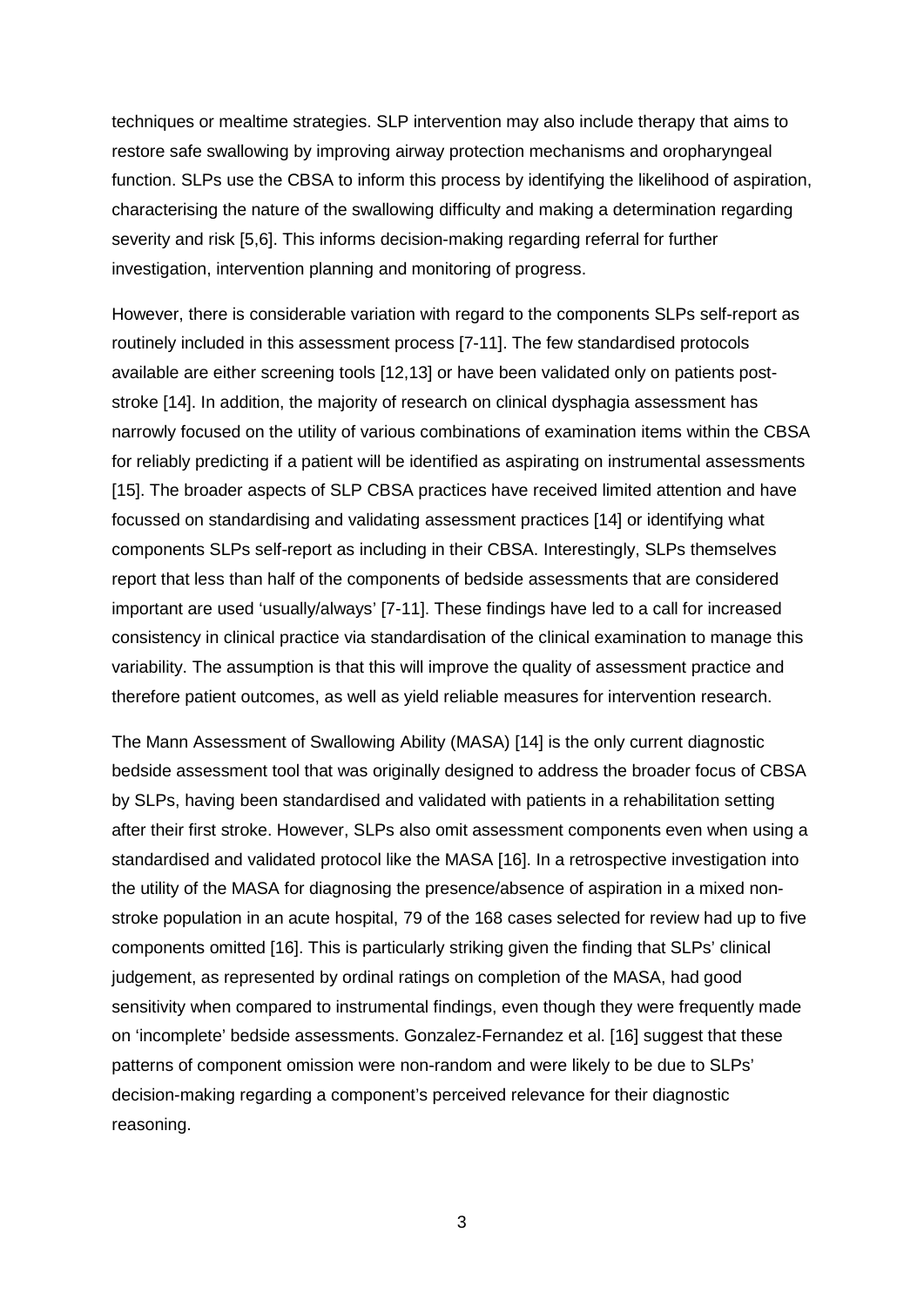techniques or mealtime strategies. SLP intervention may also include therapy that aims to restore safe swallowing by improving airway protection mechanisms and oropharyngeal function. SLPs use the CBSA to inform this process by identifying the likelihood of aspiration, characterising the nature of the swallowing difficulty and making a determination regarding severity and risk [5,6]. This informs decision-making regarding referral for further investigation, intervention planning and monitoring of progress.

However, there is considerable variation with regard to the components SLPs self-report as routinely included in this assessment process [7-11]. The few standardised protocols available are either screening tools [12,13] or have been validated only on patients poststroke [14]. In addition, the majority of research on clinical dysphagia assessment has narrowly focused on the utility of various combinations of examination items within the CBSA for reliably predicting if a patient will be identified as aspirating on instrumental assessments [15]. The broader aspects of SLP CBSA practices have received limited attention and have focussed on standardising and validating assessment practices [14] or identifying what components SLPs self-report as including in their CBSA. Interestingly, SLPs themselves report that less than half of the components of bedside assessments that are considered important are used 'usually/always' [7-11]. These findings have led to a call for increased consistency in clinical practice via standardisation of the clinical examination to manage this variability. The assumption is that this will improve the quality of assessment practice and therefore patient outcomes, as well as yield reliable measures for intervention research.

The Mann Assessment of Swallowing Ability (MASA) [14] is the only current diagnostic bedside assessment tool that was originally designed to address the broader focus of CBSA by SLPs, having been standardised and validated with patients in a rehabilitation setting after their first stroke. However, SLPs also omit assessment components even when using a standardised and validated protocol like the MASA [16]. In a retrospective investigation into the utility of the MASA for diagnosing the presence/absence of aspiration in a mixed nonstroke population in an acute hospital, 79 of the 168 cases selected for review had up to five components omitted [16]. This is particularly striking given the finding that SLPs' clinical judgement, as represented by ordinal ratings on completion of the MASA, had good sensitivity when compared to instrumental findings, even though they were frequently made on 'incomplete' bedside assessments. Gonzalez-Fernandez et al. [16] suggest that these patterns of component omission were non-random and were likely to be due to SLPs' decision-making regarding a component's perceived relevance for their diagnostic reasoning.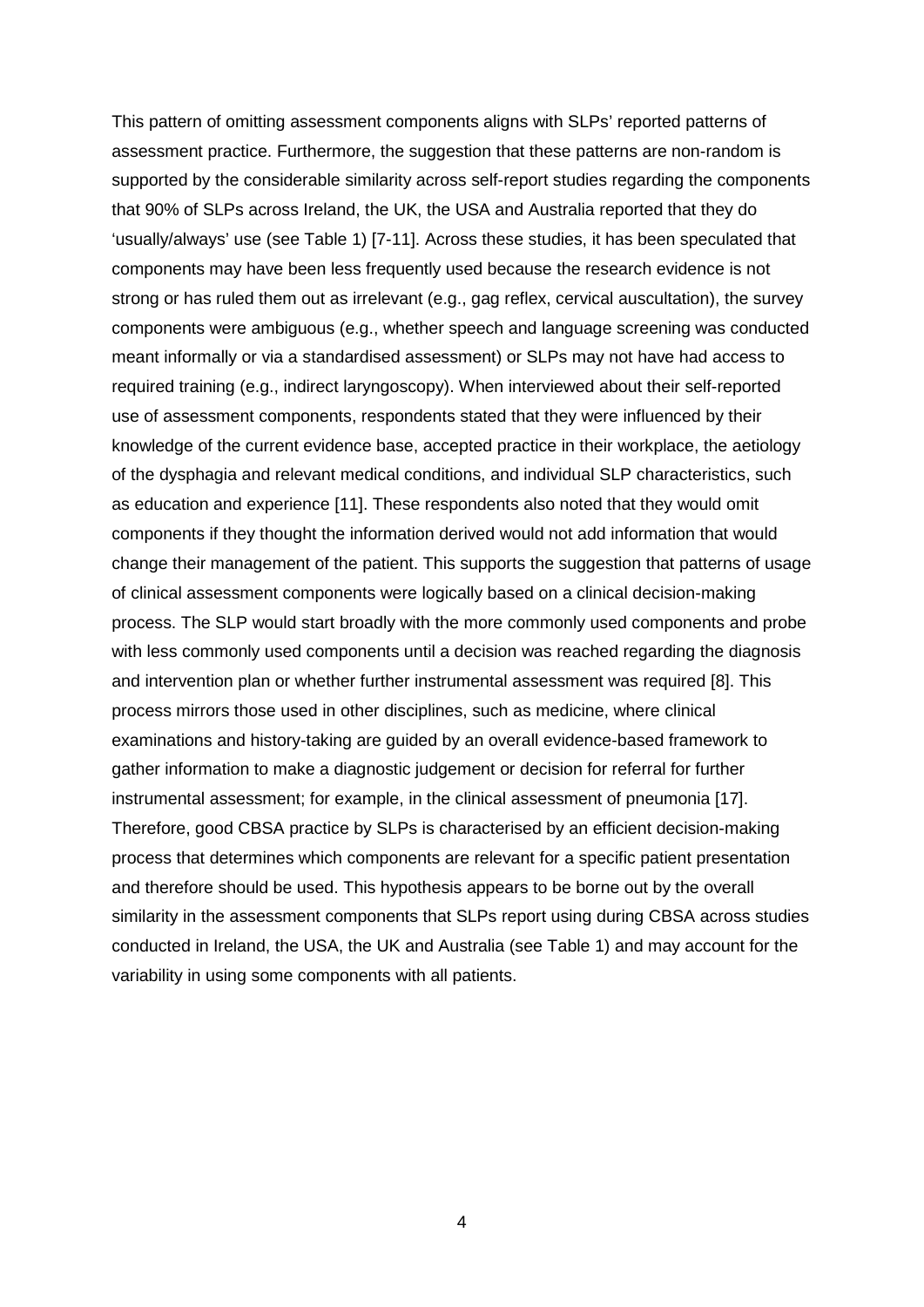This pattern of omitting assessment components aligns with SLPs' reported patterns of assessment practice. Furthermore, the suggestion that these patterns are non-random is supported by the considerable similarity across self-report studies regarding the components that 90% of SLPs across Ireland, the UK, the USA and Australia reported that they do 'usually/always' use (see Table 1) [7-11]. Across these studies, it has been speculated that components may have been less frequently used because the research evidence is not strong or has ruled them out as irrelevant (e.g., gag reflex, cervical auscultation), the survey components were ambiguous (e.g., whether speech and language screening was conducted meant informally or via a standardised assessment) or SLPs may not have had access to required training (e.g., indirect laryngoscopy). When interviewed about their self-reported use of assessment components, respondents stated that they were influenced by their knowledge of the current evidence base, accepted practice in their workplace, the aetiology of the dysphagia and relevant medical conditions, and individual SLP characteristics, such as education and experience [11]. These respondents also noted that they would omit components if they thought the information derived would not add information that would change their management of the patient. This supports the suggestion that patterns of usage of clinical assessment components were logically based on a clinical decision-making process. The SLP would start broadly with the more commonly used components and probe with less commonly used components until a decision was reached regarding the diagnosis and intervention plan or whether further instrumental assessment was required [8]. This process mirrors those used in other disciplines, such as medicine, where clinical examinations and history-taking are guided by an overall evidence-based framework to gather information to make a diagnostic judgement or decision for referral for further instrumental assessment; for example, in the clinical assessment of pneumonia [17]. Therefore, good CBSA practice by SLPs is characterised by an efficient decision-making process that determines which components are relevant for a specific patient presentation and therefore should be used. This hypothesis appears to be borne out by the overall similarity in the assessment components that SLPs report using during CBSA across studies conducted in Ireland, the USA, the UK and Australia (see Table 1) and may account for the variability in using some components with all patients.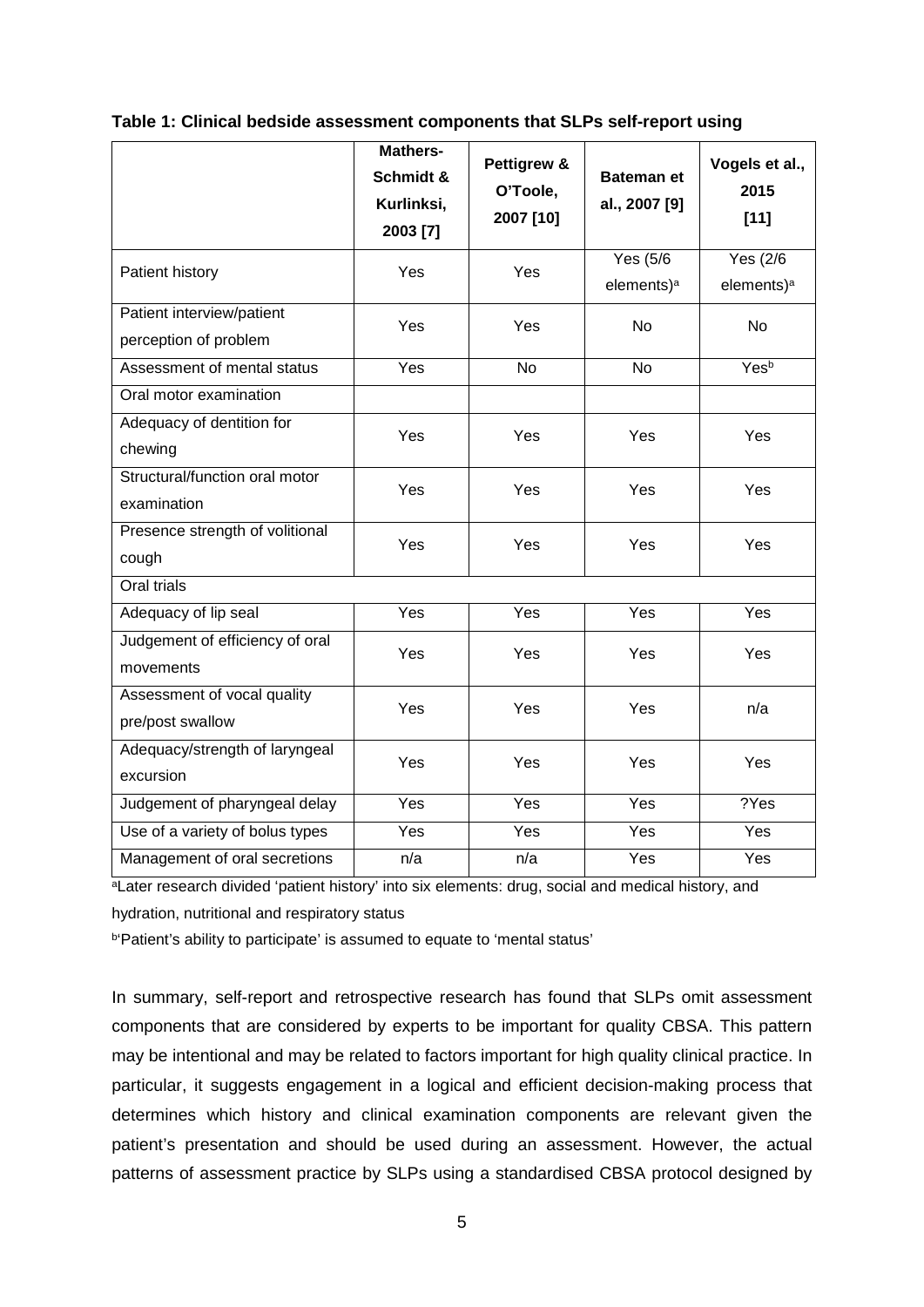|                                                    | <b>Mathers-</b><br>Schmidt &<br>Kurlinksi,<br>2003 [7] | Pettigrew &<br>O'Toole,<br>2007 [10] | <b>Bateman et</b><br>al., 2007 [9] | Vogels et al.,<br>2015<br>$[11]$           |
|----------------------------------------------------|--------------------------------------------------------|--------------------------------------|------------------------------------|--------------------------------------------|
| Patient history                                    | Yes                                                    | Yes                                  | Yes (5/6<br>elements) <sup>a</sup> | <b>Yes</b> (2/6)<br>elements) <sup>a</sup> |
| Patient interview/patient<br>perception of problem | Yes                                                    | Yes                                  | <b>No</b>                          | <b>No</b>                                  |
| Assessment of mental status                        | Yes                                                    | No                                   | <b>No</b>                          | Yesb                                       |
| Oral motor examination                             |                                                        |                                      |                                    |                                            |
| Adequacy of dentition for<br>chewing               | Yes                                                    | Yes                                  | Yes                                | Yes                                        |
| Structural/function oral motor<br>examination      | Yes                                                    | Yes                                  | Yes                                | Yes                                        |
| Presence strength of volitional<br>cough           | Yes                                                    | Yes                                  | Yes                                | Yes                                        |
| <b>Oral trials</b>                                 |                                                        |                                      |                                    |                                            |
| Adequacy of lip seal                               | Yes                                                    | Yes                                  | Yes                                | Yes                                        |
| Judgement of efficiency of oral<br>movements       | Yes                                                    | Yes                                  | Yes                                | Yes                                        |
| Assessment of vocal quality<br>pre/post swallow    | Yes                                                    | Yes                                  | Yes                                | n/a                                        |
| Adequacy/strength of laryngeal<br>excursion        | Yes                                                    | Yes                                  | Yes                                | Yes                                        |
| Judgement of pharyngeal delay                      | Yes                                                    | Yes                                  | $\overline{Yes}$                   | ?Yes                                       |
| Use of a variety of bolus types                    | Yes                                                    | Yes                                  | Yes                                | Yes                                        |
| Management of oral secretions                      | n/a                                                    | n/a                                  | Yes                                | Yes                                        |

### **Table 1: Clinical bedside assessment components that SLPs self-report using**

aLater research divided 'patient history' into six elements: drug, social and medical history, and hydration, nutritional and respiratory status

b'Patient's ability to participate' is assumed to equate to 'mental status'

In summary, self-report and retrospective research has found that SLPs omit assessment components that are considered by experts to be important for quality CBSA. This pattern may be intentional and may be related to factors important for high quality clinical practice. In particular, it suggests engagement in a logical and efficient decision-making process that determines which history and clinical examination components are relevant given the patient's presentation and should be used during an assessment. However, the actual patterns of assessment practice by SLPs using a standardised CBSA protocol designed by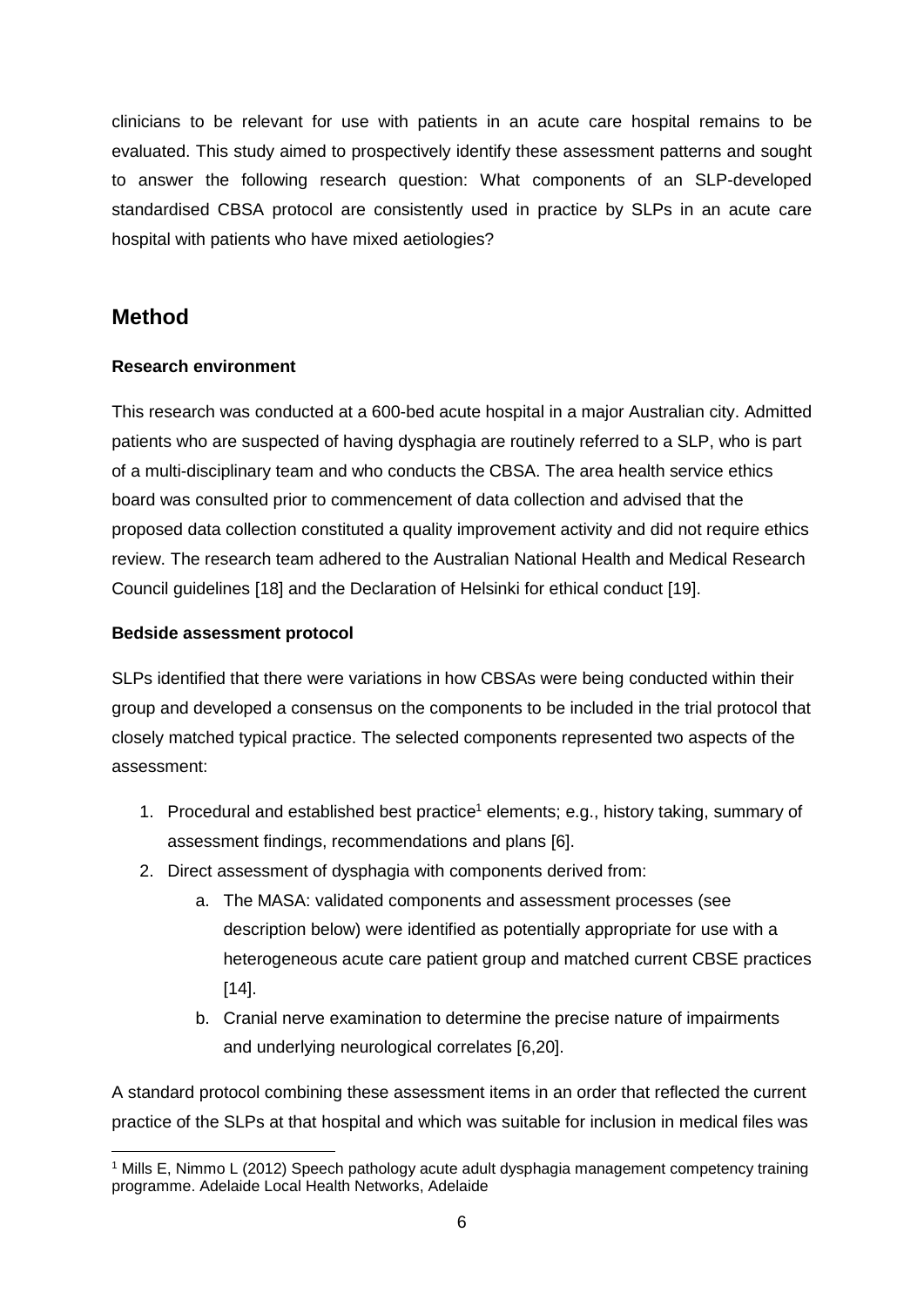clinicians to be relevant for use with patients in an acute care hospital remains to be evaluated. This study aimed to prospectively identify these assessment patterns and sought to answer the following research question: What components of an SLP-developed standardised CBSA protocol are consistently used in practice by SLPs in an acute care hospital with patients who have mixed aetiologies?

# **Method**

## **Research environment**

This research was conducted at a 600-bed acute hospital in a major Australian city. Admitted patients who are suspected of having dysphagia are routinely referred to a SLP, who is part of a multi-disciplinary team and who conducts the CBSA. The area health service ethics board was consulted prior to commencement of data collection and advised that the proposed data collection constituted a quality improvement activity and did not require ethics review. The research team adhered to the Australian National Health and Medical Research Council guidelines [18] and the Declaration of Helsinki for ethical conduct [19].

## **Bedside assessment protocol**

SLPs identified that there were variations in how CBSAs were being conducted within their group and developed a consensus on the components to be included in the trial protocol that closely matched typical practice. The selected components represented two aspects of the assessment:

- 1. Procedural and established best practice<sup>1</sup> elements; e.g., history taking, summary of assessment findings, recommendations and plans [6].
- 2. Direct assessment of dysphagia with components derived from:
	- a. The MASA: validated components and assessment processes (see description below) were identified as potentially appropriate for use with a heterogeneous acute care patient group and matched current CBSE practices [14].
	- b. Cranial nerve examination to determine the precise nature of impairments and underlying neurological correlates [6,20].

A standard protocol combining these assessment items in an order that reflected the current practice of the SLPs at that hospital and which was suitable for inclusion in medical files was

<sup>&</sup>lt;sup>1</sup> Mills E, Nimmo L (2012) Speech pathology acute adult dysphagia management competency training programme. Adelaide Local Health Networks, Adelaide -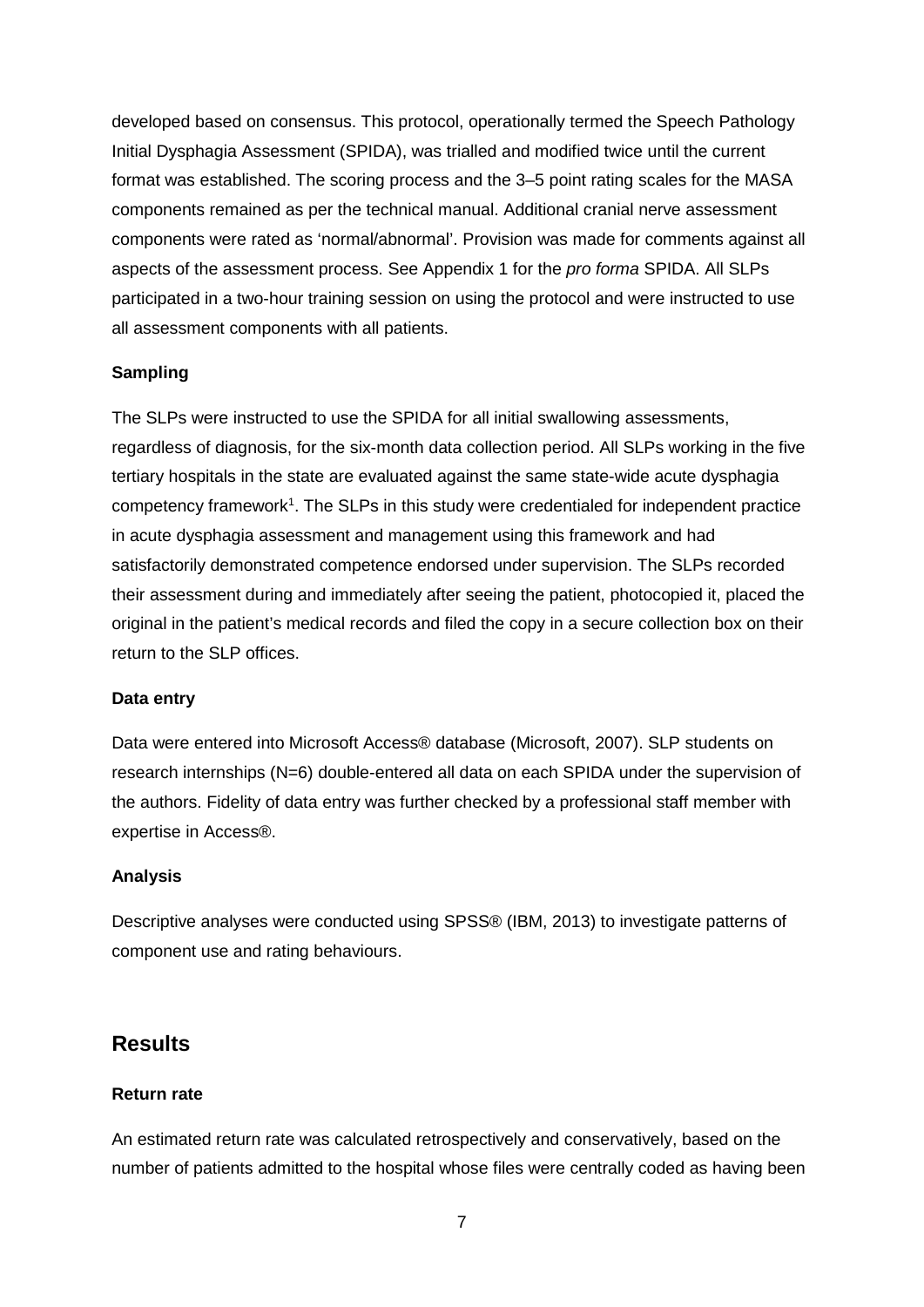developed based on consensus. This protocol, operationally termed the Speech Pathology Initial Dysphagia Assessment (SPIDA), was trialled and modified twice until the current format was established. The scoring process and the 3–5 point rating scales for the MASA components remained as per the technical manual. Additional cranial nerve assessment components were rated as 'normal/abnormal'. Provision was made for comments against all aspects of the assessment process. See Appendix 1 for the *pro forma* SPIDA. All SLPs participated in a two-hour training session on using the protocol and were instructed to use all assessment components with all patients.

### **Sampling**

The SLPs were instructed to use the SPIDA for all initial swallowing assessments, regardless of diagnosis, for the six-month data collection period. All SLPs working in the five tertiary hospitals in the state are evaluated against the same state-wide acute dysphagia competency framework<sup>1</sup>. The SLPs in this study were credentialed for independent practice in acute dysphagia assessment and management using this framework and had satisfactorily demonstrated competence endorsed under supervision. The SLPs recorded their assessment during and immediately after seeing the patient, photocopied it, placed the original in the patient's medical records and filed the copy in a secure collection box on their return to the SLP offices.

#### **Data entry**

Data were entered into Microsoft Access® database (Microsoft, 2007). SLP students on research internships (N=6) double-entered all data on each SPIDA under the supervision of the authors. Fidelity of data entry was further checked by a professional staff member with expertise in Access®.

#### **Analysis**

Descriptive analyses were conducted using SPSS® (IBM, 2013) to investigate patterns of component use and rating behaviours.

## **Results**

#### **Return rate**

An estimated return rate was calculated retrospectively and conservatively, based on the number of patients admitted to the hospital whose files were centrally coded as having been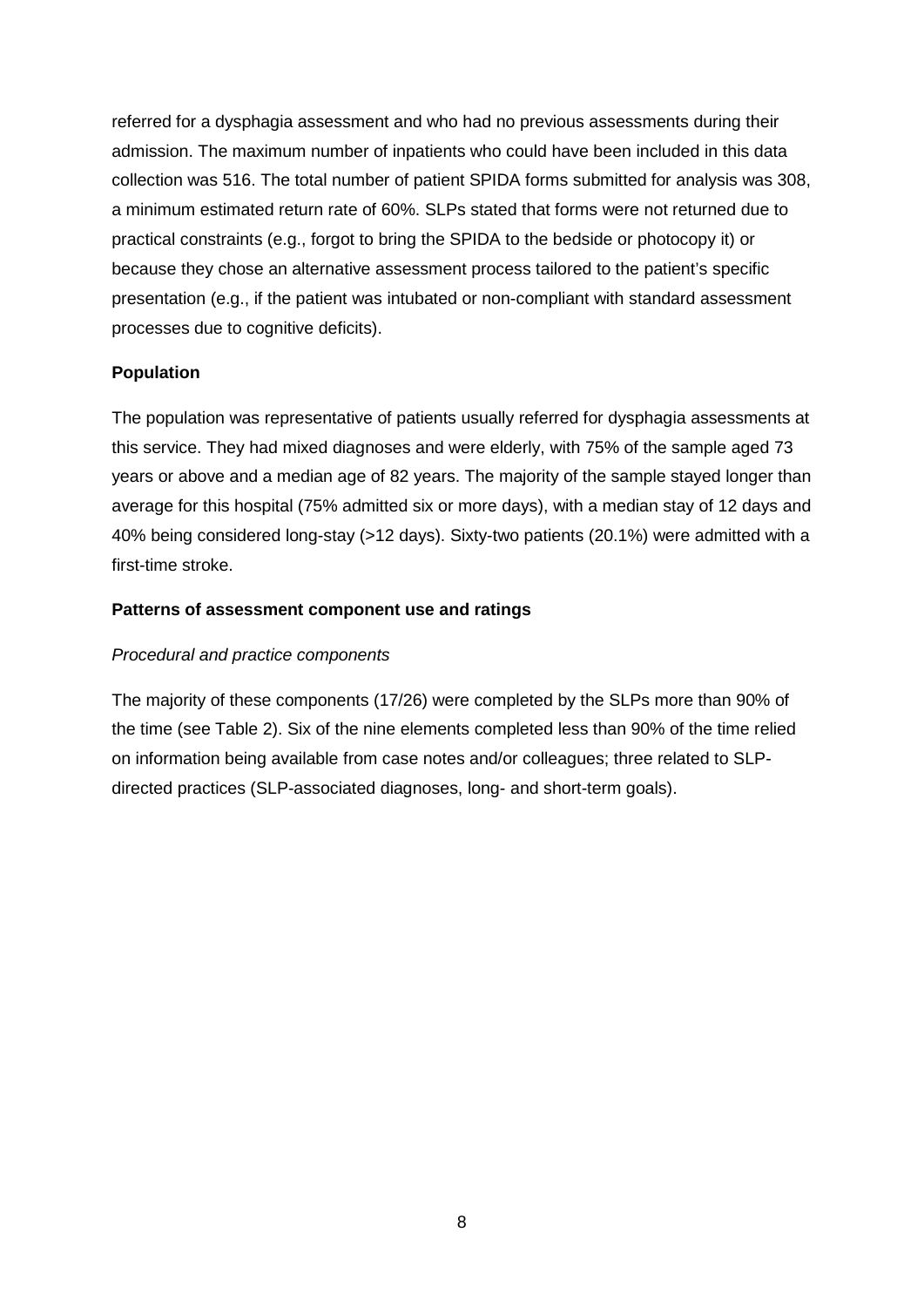referred for a dysphagia assessment and who had no previous assessments during their admission. The maximum number of inpatients who could have been included in this data collection was 516. The total number of patient SPIDA forms submitted for analysis was 308, a minimum estimated return rate of 60%. SLPs stated that forms were not returned due to practical constraints (e.g., forgot to bring the SPIDA to the bedside or photocopy it) or because they chose an alternative assessment process tailored to the patient's specific presentation (e.g., if the patient was intubated or non-compliant with standard assessment processes due to cognitive deficits).

### **Population**

The population was representative of patients usually referred for dysphagia assessments at this service. They had mixed diagnoses and were elderly, with 75% of the sample aged 73 years or above and a median age of 82 years. The majority of the sample stayed longer than average for this hospital (75% admitted six or more days), with a median stay of 12 days and 40% being considered long-stay (>12 days). Sixty-two patients (20.1%) were admitted with a first-time stroke.

### **Patterns of assessment component use and ratings**

### *Procedural and practice components*

The majority of these components (17/26) were completed by the SLPs more than 90% of the time (see Table 2). Six of the nine elements completed less than 90% of the time relied on information being available from case notes and/or colleagues; three related to SLPdirected practices (SLP-associated diagnoses, long- and short-term goals).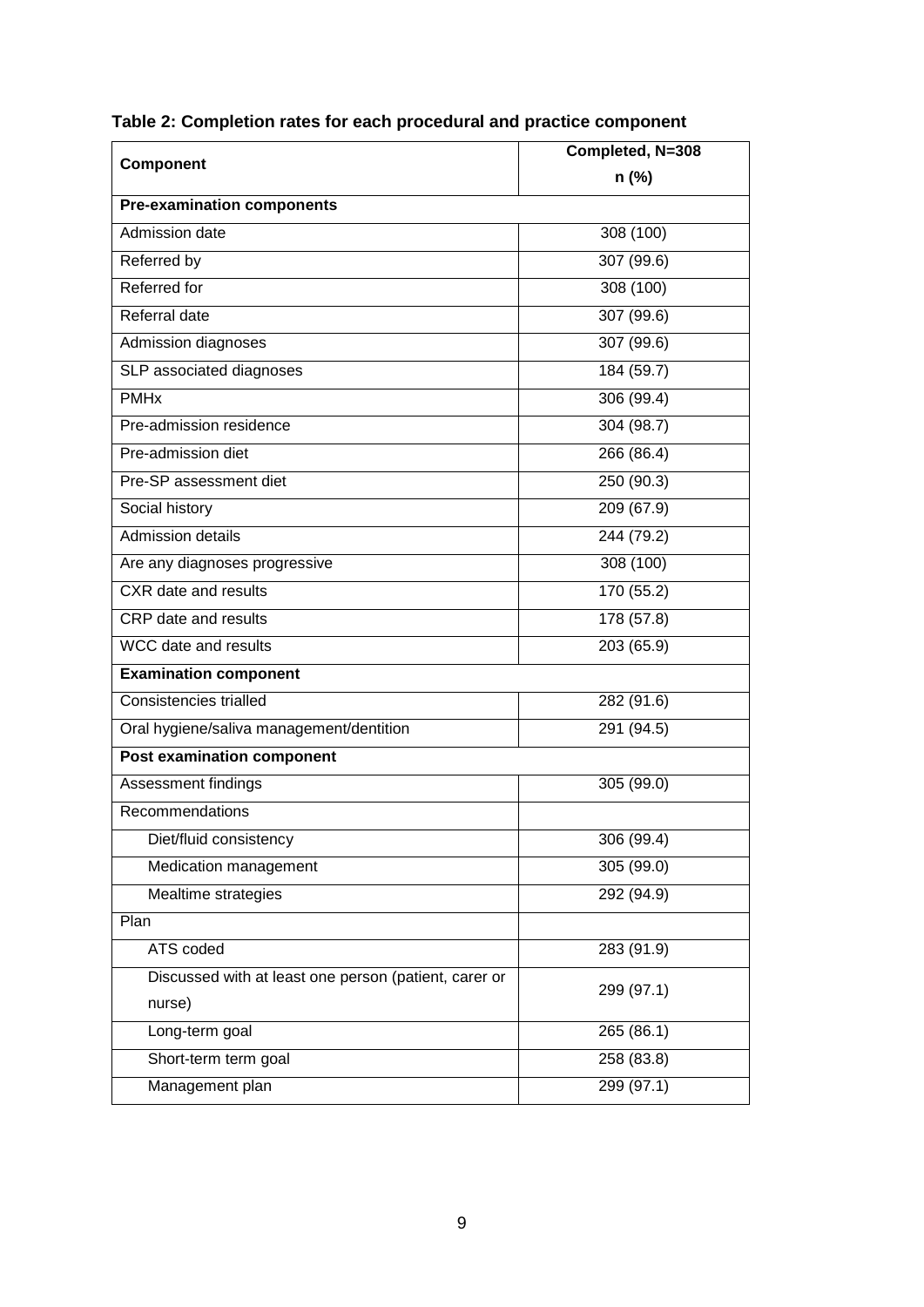| Table 2: Completion rates for each procedural and practice component |  |  |
|----------------------------------------------------------------------|--|--|
|----------------------------------------------------------------------|--|--|

| Component                                             | Completed, N=308 |  |  |
|-------------------------------------------------------|------------------|--|--|
|                                                       | n (%)            |  |  |
| <b>Pre-examination components</b>                     |                  |  |  |
| Admission date                                        | 308 (100)        |  |  |
| <b>Referred by</b>                                    | 307(99.6)        |  |  |
| Referred for                                          | 308(100)         |  |  |
| Referral date                                         | 307(99.6)        |  |  |
| Admission diagnoses                                   | 307 (99.6)       |  |  |
| SLP associated diagnoses                              | 184(59.7)        |  |  |
| <b>PMH<sub>x</sub></b>                                | 306(99.4)        |  |  |
| Pre-admission residence                               | 304 (98.7)       |  |  |
| Pre-admission diet                                    | 266(86.4)        |  |  |
| Pre-SP assessment diet                                | 250 (90.3)       |  |  |
| Social history                                        | 209(67.9)        |  |  |
| Admission details                                     | 244(79.2)        |  |  |
| Are any diagnoses progressive                         | 308 (100)        |  |  |
| CXR date and results                                  | 170 (55.2)       |  |  |
| CRP date and results                                  | 178 (57.8)       |  |  |
| WCC date and results                                  | 203 (65.9)       |  |  |
| <b>Examination component</b>                          |                  |  |  |
| Consistencies trialled                                | 282 (91.6)       |  |  |
| Oral hygiene/saliva management/dentition              | 291 (94.5)       |  |  |
| <b>Post examination component</b>                     |                  |  |  |
| Assessment findings                                   | 305 (99.0)       |  |  |
| Recommendations                                       |                  |  |  |
| Diet/fluid consistency                                | 306 (99.4)       |  |  |
| Medication management                                 | 305 (99.0)       |  |  |
| Mealtime strategies                                   | 292 (94.9)       |  |  |
| Plan                                                  |                  |  |  |
| ATS coded                                             | 283 (91.9)       |  |  |
| Discussed with at least one person (patient, carer or | 299 (97.1)       |  |  |
| nurse)                                                |                  |  |  |
| Long-term goal                                        | 265 (86.1)       |  |  |
| Short-term term goal                                  | 258 (83.8)       |  |  |
| Management plan                                       | 299 (97.1)       |  |  |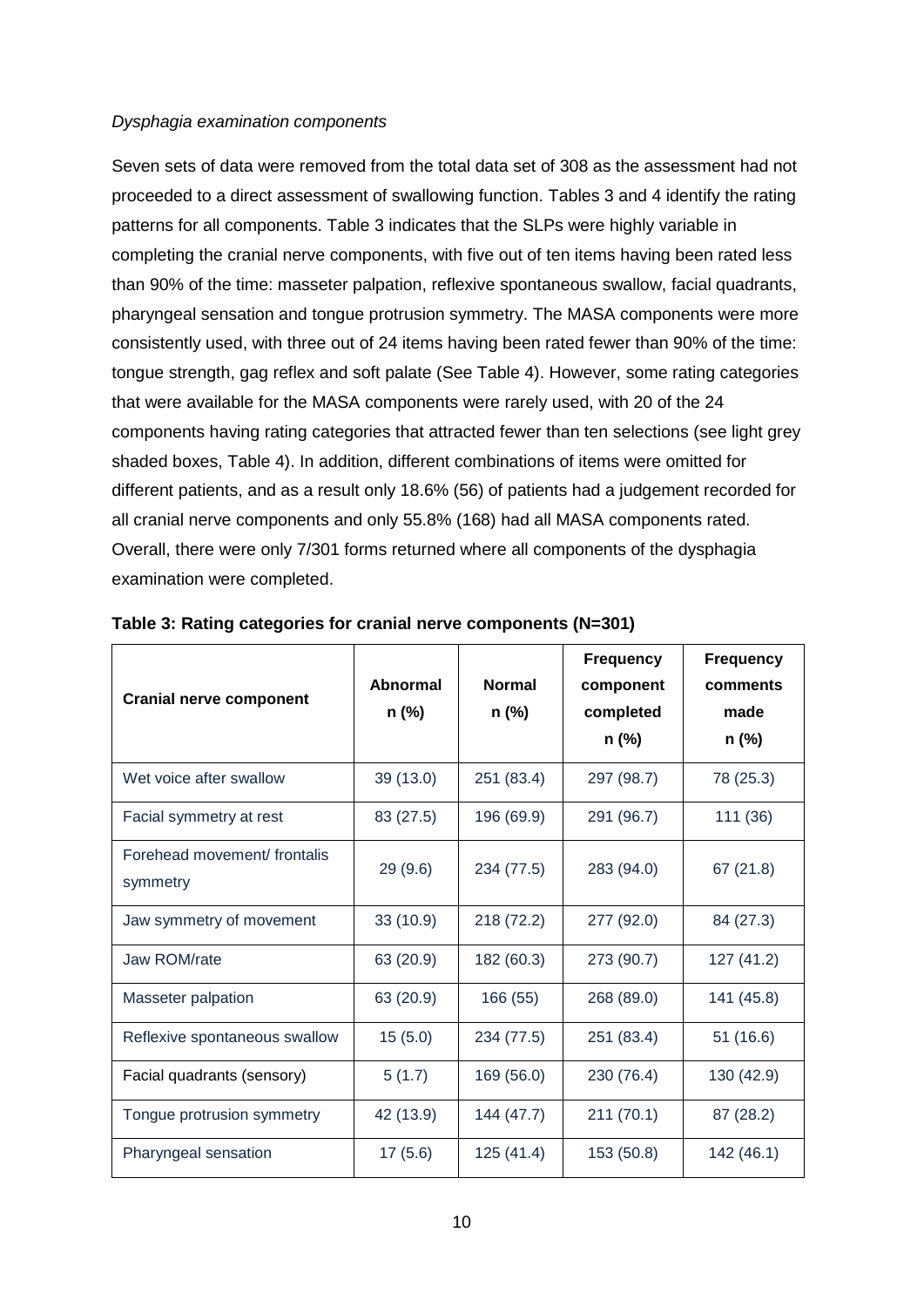#### *Dysphagia examination components*

Seven sets of data were removed from the total data set of 308 as the assessment had not proceeded to a direct assessment of swallowing function. Tables 3 and 4 identify the rating patterns for all components. Table 3 indicates that the SLPs were highly variable in completing the cranial nerve components, with five out of ten items having been rated less than 90% of the time: masseter palpation, reflexive spontaneous swallow, facial quadrants, pharyngeal sensation and tongue protrusion symmetry. The MASA components were more consistently used, with three out of 24 items having been rated fewer than 90% of the time: tongue strength, gag reflex and soft palate (See Table 4). However, some rating categories that were available for the MASA components were rarely used, with 20 of the 24 components having rating categories that attracted fewer than ten selections (see light grey shaded boxes, Table 4). In addition, different combinations of items were omitted for different patients, and as a result only 18.6% (56) of patients had a judgement recorded for all cranial nerve components and only 55.8% (168) had all MASA components rated. Overall, there were only 7/301 forms returned where all components of the dysphagia examination were completed.

| <b>Cranial nerve component</b>           | <b>Abnormal</b><br>n (%) | <b>Normal</b><br>n (%) | <b>Frequency</b><br>component<br>completed<br>n (%) | <b>Frequency</b><br>comments<br>made<br>n (%) |
|------------------------------------------|--------------------------|------------------------|-----------------------------------------------------|-----------------------------------------------|
| Wet voice after swallow                  | 39 (13.0)                | 251 (83.4)             | 297 (98.7)                                          | 78 (25.3)                                     |
| Facial symmetry at rest                  | 83 (27.5)                | 196 (69.9)             | 291 (96.7)                                          | 111 (36)                                      |
| Forehead movement/ frontalis<br>symmetry | 29(9.6)                  | 234 (77.5)             | 283 (94.0)                                          | 67(21.8)                                      |
| Jaw symmetry of movement                 | 33(10.9)                 | 218 (72.2)             | 277 (92.0)                                          | 84 (27.3)                                     |
| Jaw ROM/rate                             | 63 (20.9)                | 182 (60.3)             | 273 (90.7)                                          | 127(41.2)                                     |
| Masseter palpation                       | 63 (20.9)                | 166 (55)               | 268 (89.0)                                          | 141 (45.8)                                    |
| Reflexive spontaneous swallow            | 15(5.0)                  | 234 (77.5)             | 251 (83.4)                                          | 51 (16.6)                                     |
| Facial quadrants (sensory)               | 5(1.7)                   | 169 (56.0)             | 230 (76.4)                                          | 130 (42.9)                                    |
| Tongue protrusion symmetry               | 42 (13.9)                | 144 (47.7)             | 211 (70.1)                                          | 87 (28.2)                                     |
| Pharyngeal sensation                     | 17(5.6)                  | 125(41.4)              | 153 (50.8)                                          | 142 (46.1)                                    |

|  |  | Table 3: Rating categories for cranial nerve components (N=301) |  |
|--|--|-----------------------------------------------------------------|--|
|--|--|-----------------------------------------------------------------|--|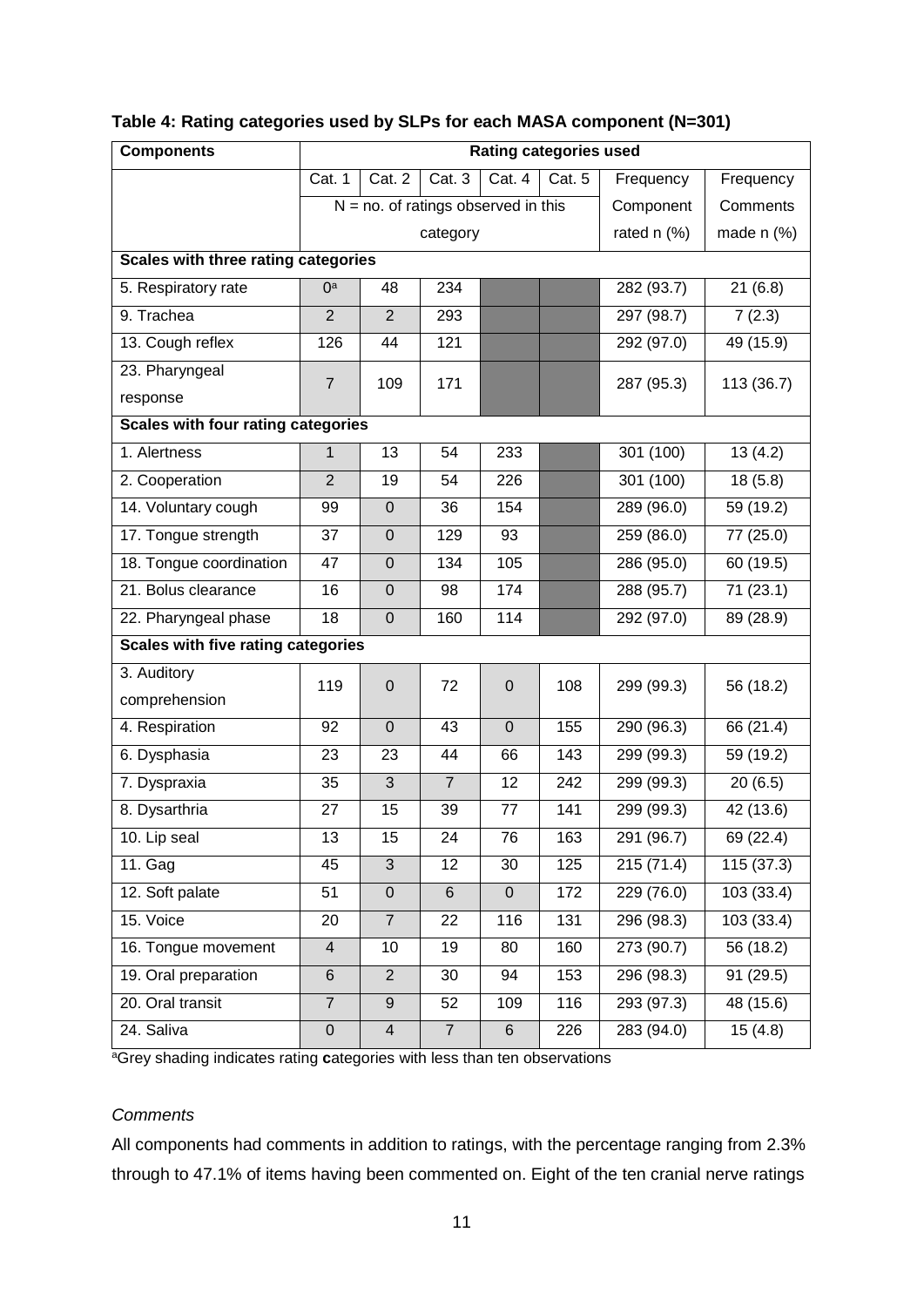| <b>Components</b>                         | <b>Rating categories used</b> |                                        |                  |                |           |             |              |
|-------------------------------------------|-------------------------------|----------------------------------------|------------------|----------------|-----------|-------------|--------------|
|                                           | Cat. 1                        | Cat. 3<br>Cat. 4<br>Cat. 5<br>Cat. 2   |                  |                | Frequency | Frequency   |              |
|                                           |                               | $N = no$ . of ratings observed in this |                  |                | Component | Comments    |              |
|                                           |                               |                                        | category         |                |           | rated n (%) | made $n$ $%$ |
| Scales with three rating categories       |                               |                                        |                  |                |           |             |              |
| 5. Respiratory rate                       | 0 <sup>a</sup>                | 48                                     | 234              |                |           | 282 (93.7)  | 21(6.8)      |
| 9. Trachea                                | $\overline{2}$                | $\overline{2}$                         | 293              |                |           | 297 (98.7)  | 7(2.3)       |
| 13. Cough reflex                          | 126                           | 44                                     | 121              |                |           | 292 (97.0)  | 49 (15.9)    |
| 23. Pharyngeal                            | $\overline{7}$                | 109                                    | 171              |                |           | 287 (95.3)  | 113 (36.7)   |
| response                                  |                               |                                        |                  |                |           |             |              |
| Scales with four rating categories        |                               |                                        |                  |                |           |             |              |
| 1. Alertness                              | 1                             | 13                                     | 54               | 233            |           | 301 (100)   | 13(4.2)      |
| 2. Cooperation                            | $\overline{2}$                | 19                                     | 54               | 226            |           | 301 (100)   | 18(5.8)      |
| 14. Voluntary cough                       | 99                            | $\mathbf 0$                            | 36               | 154            |           | 289 (96.0)  | 59 (19.2)    |
| 17. Tongue strength                       | 37                            | $\mathbf 0$                            | 129              | 93             |           | 259 (86.0)  | 77 (25.0)    |
| 18. Tongue coordination                   | 47                            | $\mathbf 0$                            | 134              | 105            |           | 286 (95.0)  | 60 (19.5)    |
| 21. Bolus clearance                       | 16                            | $\mathbf 0$                            | 98               | 174            |           | 288 (95.7)  | 71 (23.1)    |
| 22. Pharyngeal phase                      | 18                            | 0                                      | 160              | 114            |           | 292 (97.0)  | 89 (28.9)    |
| <b>Scales with five rating categories</b> |                               |                                        |                  |                |           |             |              |
| 3. Auditory                               | 119                           | $\mathbf 0$                            | 72               | $\mathbf 0$    | 108       | 299 (99.3)  | 56 (18.2)    |
| comprehension                             |                               |                                        |                  |                |           |             |              |
| 4. Respiration                            | 92                            | $\overline{0}$                         | 43               | $\overline{0}$ | 155       | 290 (96.3)  | 66 (21.4)    |
| 6. Dysphasia                              | 23                            | 23                                     | 44               | 66             | 143       | 299 (99.3)  | 59 (19.2)    |
| 7. Dyspraxia                              | 35                            | 3                                      | $\overline{7}$   | 12             | 242       | 299 (99.3)  | 20(6.5)      |
| 8. Dysarthria                             | 27                            | 15                                     | 39               | 77             | 141       | 299(99.3)   | 42 (13.6)    |
| 10. Lip seal                              | 13                            | 15                                     | 24               | 76             | 163       | 291 (96.7)  | 69 (22.4)    |
| 11. Gag                                   | 45                            | 3                                      | 12               | 30             | 125       | 215 (71.4)  | 115 (37.3)   |
| 12. Soft palate                           | 51                            | $\pmb{0}$                              | $\,6\,$          | $\mathbf 0$    | 172       | 229 (76.0)  | 103 (33.4)   |
| 15. Voice                                 | 20                            | $\overline{7}$                         | 22               | 116            | 131       | 296(98.3)   | 103 (33.4)   |
| 16. Tongue movement                       | $\overline{\mathbf{4}}$       | 10                                     | 19               | 80             | 160       | 273 (90.7)  | 56 (18.2)    |
| 19. Oral preparation                      | $\,$ 6 $\,$                   | $\overline{2}$                         | 30               | 94             | 153       | 296 (98.3)  | 91(29.5)     |
| 20. Oral transit                          | $\overline{7}$                | $\boldsymbol{9}$                       | 52               | 109            | 116       | 293 (97.3)  | 48 (15.6)    |
| 24. Saliva                                | $\boldsymbol{0}$              | $\overline{\mathbf{4}}$                | $\boldsymbol{7}$ | $\,6$          | 226       | 283 (94.0)  | 15(4.8)      |

## **Table 4: Rating categories used by SLPs for each MASA component (N=301)**

<sup>a</sup>Grey shading indicates rating categories with less than ten observations

## *Comments*

All components had comments in addition to ratings, with the percentage ranging from 2.3% through to 47.1% of items having been commented on. Eight of the ten cranial nerve ratings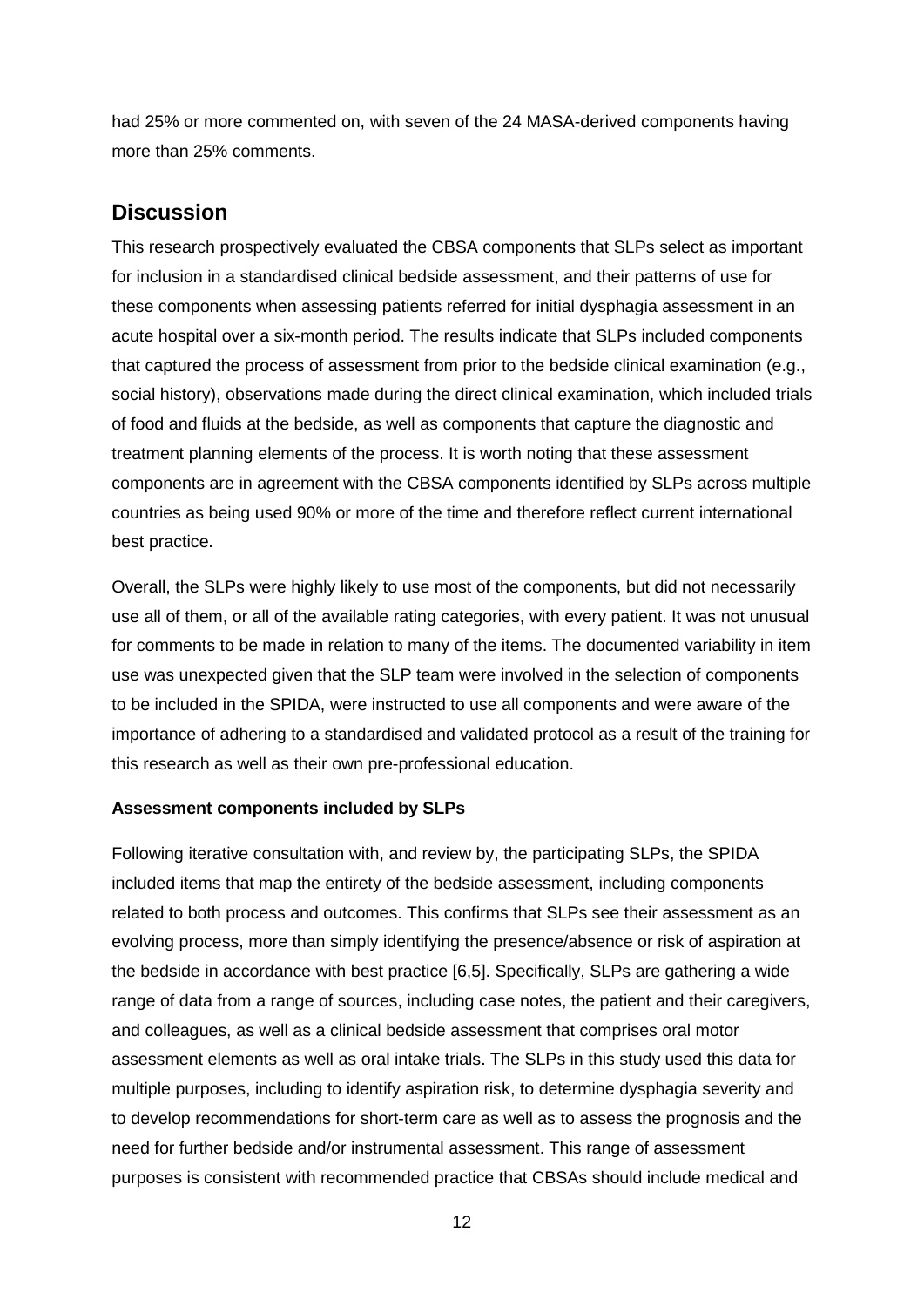had 25% or more commented on, with seven of the 24 MASA-derived components having more than 25% comments.

## **Discussion**

This research prospectively evaluated the CBSA components that SLPs select as important for inclusion in a standardised clinical bedside assessment, and their patterns of use for these components when assessing patients referred for initial dysphagia assessment in an acute hospital over a six-month period. The results indicate that SLPs included components that captured the process of assessment from prior to the bedside clinical examination (e.g., social history), observations made during the direct clinical examination, which included trials of food and fluids at the bedside, as well as components that capture the diagnostic and treatment planning elements of the process. It is worth noting that these assessment components are in agreement with the CBSA components identified by SLPs across multiple countries as being used 90% or more of the time and therefore reflect current international best practice.

Overall, the SLPs were highly likely to use most of the components, but did not necessarily use all of them, or all of the available rating categories, with every patient. It was not unusual for comments to be made in relation to many of the items. The documented variability in item use was unexpected given that the SLP team were involved in the selection of components to be included in the SPIDA, were instructed to use all components and were aware of the importance of adhering to a standardised and validated protocol as a result of the training for this research as well as their own pre-professional education.

### **Assessment components included by SLPs**

Following iterative consultation with, and review by, the participating SLPs, the SPIDA included items that map the entirety of the bedside assessment, including components related to both process and outcomes. This confirms that SLPs see their assessment as an evolving process, more than simply identifying the presence/absence or risk of aspiration at the bedside in accordance with best practice [6,5]. Specifically, SLPs are gathering a wide range of data from a range of sources, including case notes, the patient and their caregivers, and colleagues, as well as a clinical bedside assessment that comprises oral motor assessment elements as well as oral intake trials. The SLPs in this study used this data for multiple purposes, including to identify aspiration risk, to determine dysphagia severity and to develop recommendations for short-term care as well as to assess the prognosis and the need for further bedside and/or instrumental assessment. This range of assessment purposes is consistent with recommended practice that CBSAs should include medical and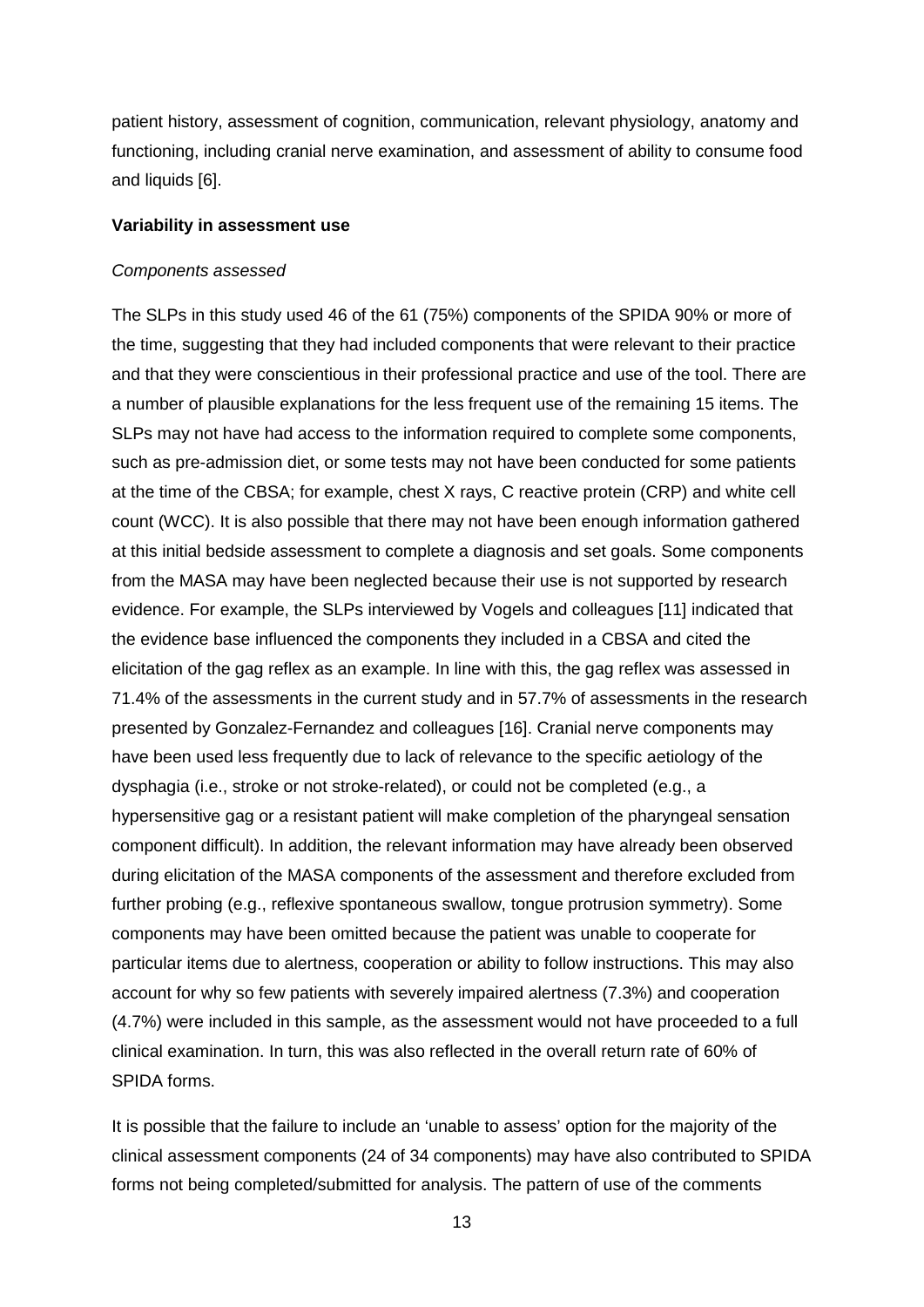patient history, assessment of cognition, communication, relevant physiology, anatomy and functioning, including cranial nerve examination, and assessment of ability to consume food and liquids [6].

#### **Variability in assessment use**

#### *Components assessed*

The SLPs in this study used 46 of the 61 (75%) components of the SPIDA 90% or more of the time, suggesting that they had included components that were relevant to their practice and that they were conscientious in their professional practice and use of the tool. There are a number of plausible explanations for the less frequent use of the remaining 15 items. The SLPs may not have had access to the information required to complete some components, such as pre-admission diet, or some tests may not have been conducted for some patients at the time of the CBSA; for example, chest X rays, C reactive protein (CRP) and white cell count (WCC). It is also possible that there may not have been enough information gathered at this initial bedside assessment to complete a diagnosis and set goals. Some components from the MASA may have been neglected because their use is not supported by research evidence. For example, the SLPs interviewed by Vogels and colleagues [11] indicated that the evidence base influenced the components they included in a CBSA and cited the elicitation of the gag reflex as an example. In line with this, the gag reflex was assessed in 71.4% of the assessments in the current study and in 57.7% of assessments in the research presented by Gonzalez-Fernandez and colleagues [16]. Cranial nerve components may have been used less frequently due to lack of relevance to the specific aetiology of the dysphagia (i.e., stroke or not stroke-related), or could not be completed (e.g., a hypersensitive gag or a resistant patient will make completion of the pharyngeal sensation component difficult). In addition, the relevant information may have already been observed during elicitation of the MASA components of the assessment and therefore excluded from further probing (e.g., reflexive spontaneous swallow, tongue protrusion symmetry). Some components may have been omitted because the patient was unable to cooperate for particular items due to alertness, cooperation or ability to follow instructions. This may also account for why so few patients with severely impaired alertness (7.3%) and cooperation (4.7%) were included in this sample, as the assessment would not have proceeded to a full clinical examination. In turn, this was also reflected in the overall return rate of 60% of SPIDA forms.

It is possible that the failure to include an 'unable to assess' option for the majority of the clinical assessment components (24 of 34 components) may have also contributed to SPIDA forms not being completed/submitted for analysis. The pattern of use of the comments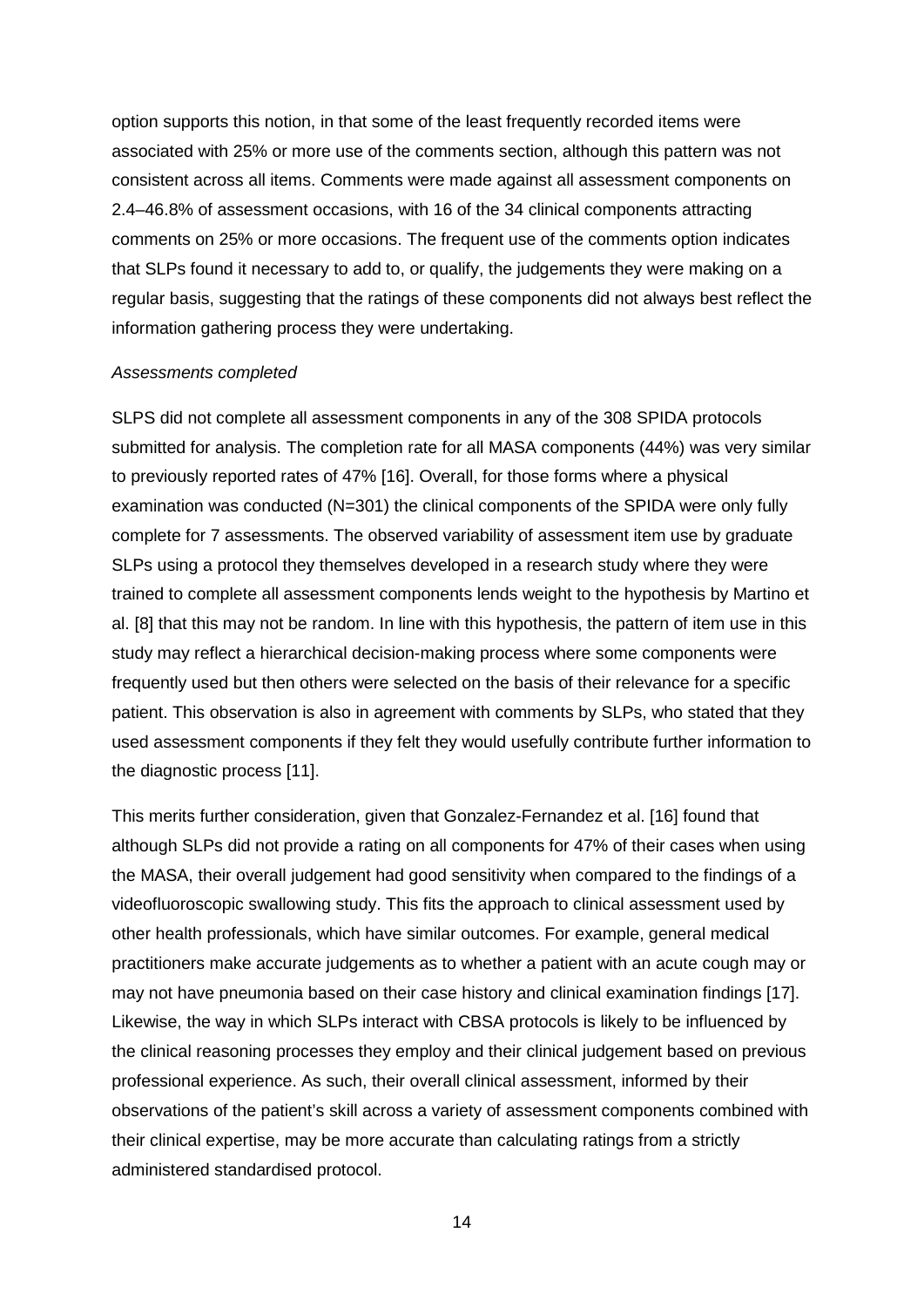option supports this notion, in that some of the least frequently recorded items were associated with 25% or more use of the comments section, although this pattern was not consistent across all items. Comments were made against all assessment components on 2.4–46.8% of assessment occasions, with 16 of the 34 clinical components attracting comments on 25% or more occasions. The frequent use of the comments option indicates that SLPs found it necessary to add to, or qualify, the judgements they were making on a regular basis, suggesting that the ratings of these components did not always best reflect the information gathering process they were undertaking.

#### *Assessments completed*

SLPS did not complete all assessment components in any of the 308 SPIDA protocols submitted for analysis. The completion rate for all MASA components (44%) was very similar to previously reported rates of 47% [16]. Overall, for those forms where a physical examination was conducted (N=301) the clinical components of the SPIDA were only fully complete for 7 assessments. The observed variability of assessment item use by graduate SLPs using a protocol they themselves developed in a research study where they were trained to complete all assessment components lends weight to the hypothesis by Martino et al. [8] that this may not be random. In line with this hypothesis, the pattern of item use in this study may reflect a hierarchical decision-making process where some components were frequently used but then others were selected on the basis of their relevance for a specific patient. This observation is also in agreement with comments by SLPs, who stated that they used assessment components if they felt they would usefully contribute further information to the diagnostic process [11].

This merits further consideration, given that Gonzalez-Fernandez et al. [16] found that although SLPs did not provide a rating on all components for 47% of their cases when using the MASA, their overall judgement had good sensitivity when compared to the findings of a videofluoroscopic swallowing study. This fits the approach to clinical assessment used by other health professionals, which have similar outcomes. For example, general medical practitioners make accurate judgements as to whether a patient with an acute cough may or may not have pneumonia based on their case history and clinical examination findings [17]. Likewise, the way in which SLPs interact with CBSA protocols is likely to be influenced by the clinical reasoning processes they employ and their clinical judgement based on previous professional experience. As such, their overall clinical assessment, informed by their observations of the patient's skill across a variety of assessment components combined with their clinical expertise, may be more accurate than calculating ratings from a strictly administered standardised protocol.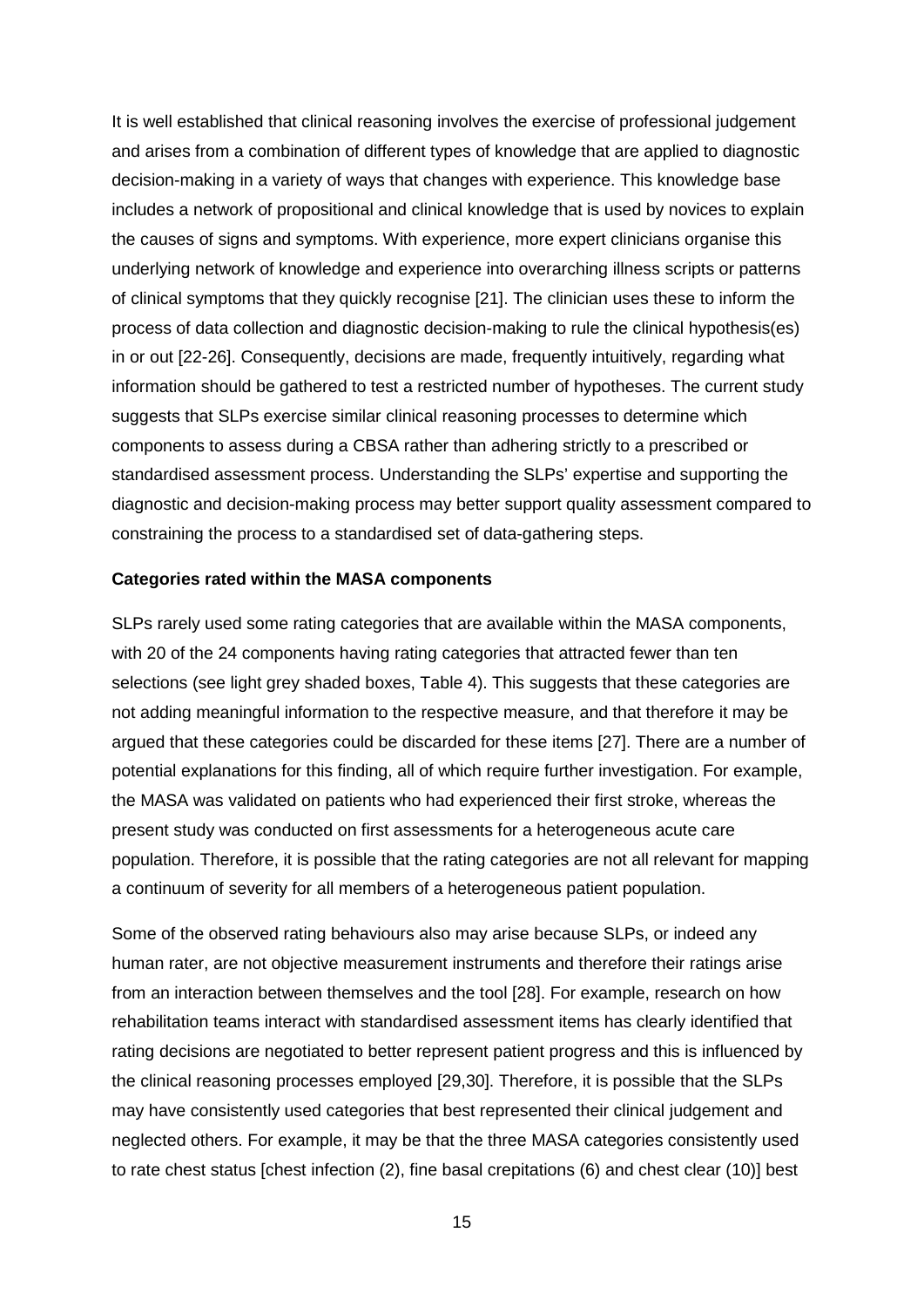It is well established that clinical reasoning involves the exercise of professional judgement and arises from a combination of different types of knowledge that are applied to diagnostic decision-making in a variety of ways that changes with experience. This knowledge base includes a network of propositional and clinical knowledge that is used by novices to explain the causes of signs and symptoms. With experience, more expert clinicians organise this underlying network of knowledge and experience into overarching illness scripts or patterns of clinical symptoms that they quickly recognise [21]. The clinician uses these to inform the process of data collection and diagnostic decision-making to rule the clinical hypothesis(es) in or out [22-26]. Consequently, decisions are made, frequently intuitively, regarding what information should be gathered to test a restricted number of hypotheses. The current study suggests that SLPs exercise similar clinical reasoning processes to determine which components to assess during a CBSA rather than adhering strictly to a prescribed or standardised assessment process. Understanding the SLPs' expertise and supporting the diagnostic and decision-making process may better support quality assessment compared to constraining the process to a standardised set of data-gathering steps.

#### **Categories rated within the MASA components**

SLPs rarely used some rating categories that are available within the MASA components, with 20 of the 24 components having rating categories that attracted fewer than ten selections (see light grey shaded boxes, Table 4). This suggests that these categories are not adding meaningful information to the respective measure, and that therefore it may be argued that these categories could be discarded for these items [27]. There are a number of potential explanations for this finding, all of which require further investigation. For example, the MASA was validated on patients who had experienced their first stroke, whereas the present study was conducted on first assessments for a heterogeneous acute care population. Therefore, it is possible that the rating categories are not all relevant for mapping a continuum of severity for all members of a heterogeneous patient population.

Some of the observed rating behaviours also may arise because SLPs, or indeed any human rater, are not objective measurement instruments and therefore their ratings arise from an interaction between themselves and the tool [28]. For example, research on how rehabilitation teams interact with standardised assessment items has clearly identified that rating decisions are negotiated to better represent patient progress and this is influenced by the clinical reasoning processes employed [29,30]. Therefore, it is possible that the SLPs may have consistently used categories that best represented their clinical judgement and neglected others. For example, it may be that the three MASA categories consistently used to rate chest status [chest infection (2), fine basal crepitations (6) and chest clear (10)] best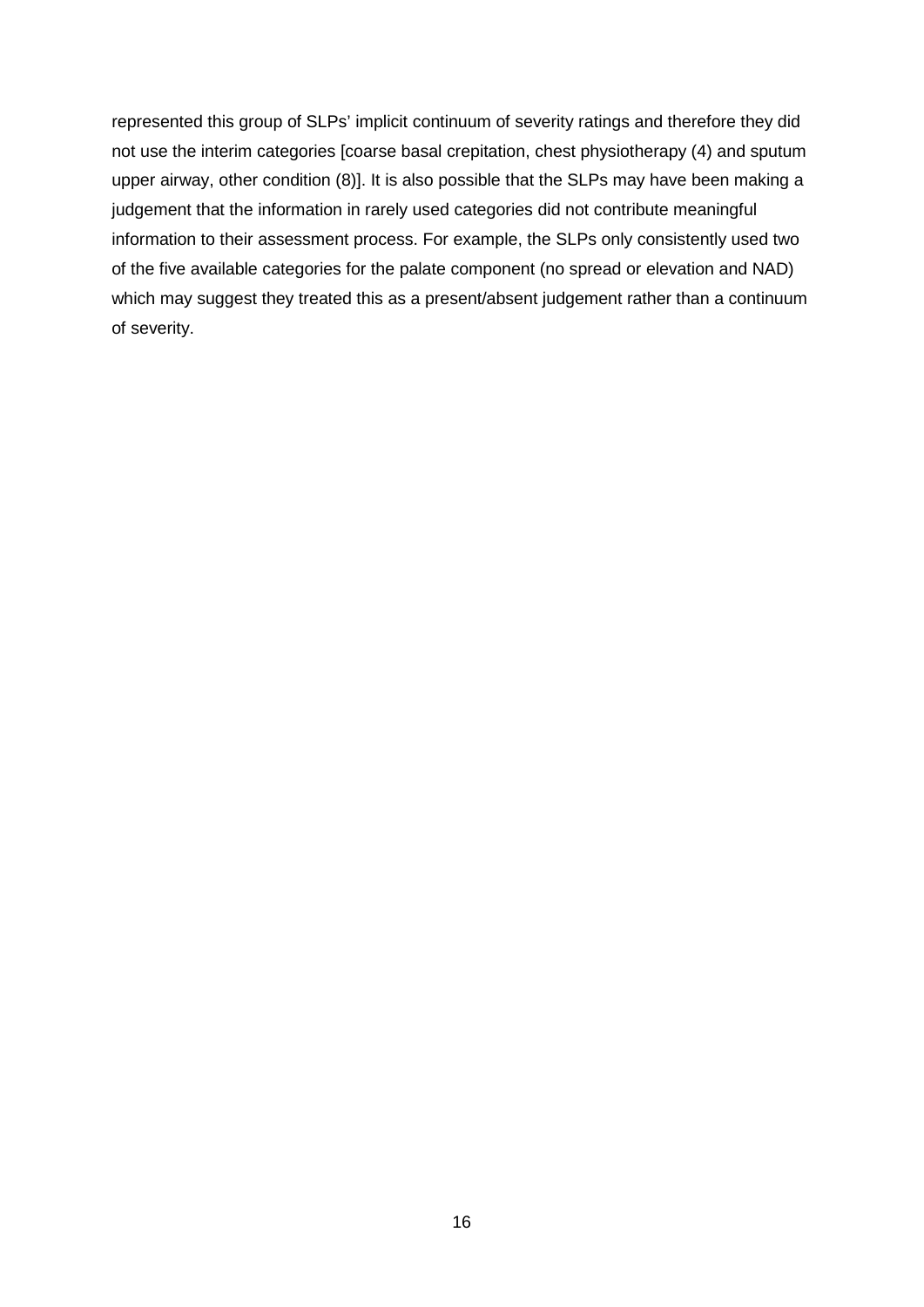represented this group of SLPs' implicit continuum of severity ratings and therefore they did not use the interim categories [coarse basal crepitation, chest physiotherapy (4) and sputum upper airway, other condition (8)]. It is also possible that the SLPs may have been making a judgement that the information in rarely used categories did not contribute meaningful information to their assessment process. For example, the SLPs only consistently used two of the five available categories for the palate component (no spread or elevation and NAD) which may suggest they treated this as a present/absent judgement rather than a continuum of severity.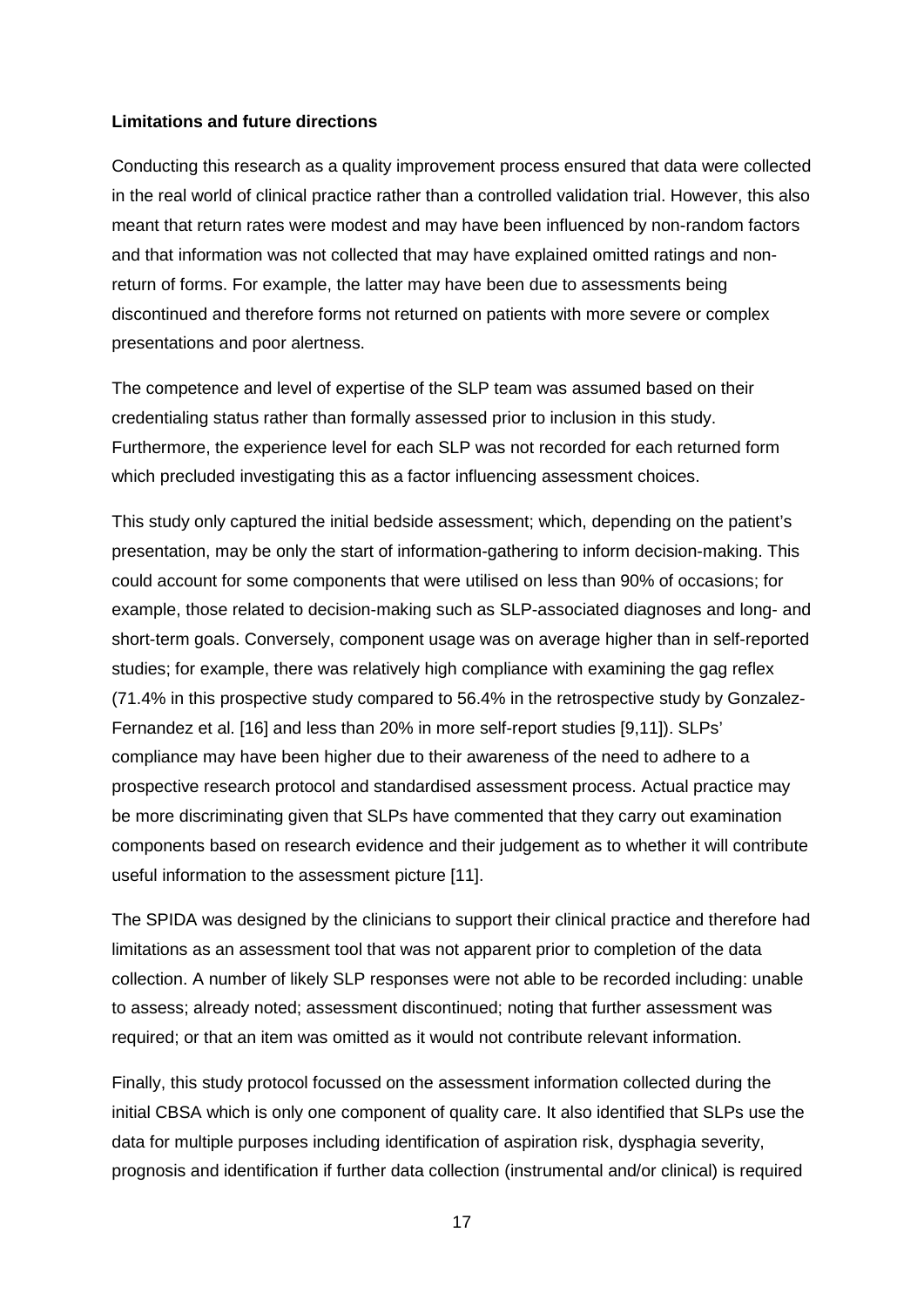#### **Limitations and future directions**

Conducting this research as a quality improvement process ensured that data were collected in the real world of clinical practice rather than a controlled validation trial. However, this also meant that return rates were modest and may have been influenced by non-random factors and that information was not collected that may have explained omitted ratings and nonreturn of forms. For example, the latter may have been due to assessments being discontinued and therefore forms not returned on patients with more severe or complex presentations and poor alertness.

The competence and level of expertise of the SLP team was assumed based on their credentialing status rather than formally assessed prior to inclusion in this study. Furthermore, the experience level for each SLP was not recorded for each returned form which precluded investigating this as a factor influencing assessment choices.

This study only captured the initial bedside assessment; which, depending on the patient's presentation, may be only the start of information-gathering to inform decision-making. This could account for some components that were utilised on less than 90% of occasions; for example, those related to decision-making such as SLP-associated diagnoses and long- and short-term goals. Conversely, component usage was on average higher than in self-reported studies; for example, there was relatively high compliance with examining the gag reflex (71.4% in this prospective study compared to 56.4% in the retrospective study by Gonzalez-Fernandez et al. [16] and less than 20% in more self-report studies [9,11]). SLPs' compliance may have been higher due to their awareness of the need to adhere to a prospective research protocol and standardised assessment process. Actual practice may be more discriminating given that SLPs have commented that they carry out examination components based on research evidence and their judgement as to whether it will contribute useful information to the assessment picture [11].

The SPIDA was designed by the clinicians to support their clinical practice and therefore had limitations as an assessment tool that was not apparent prior to completion of the data collection. A number of likely SLP responses were not able to be recorded including: unable to assess; already noted; assessment discontinued; noting that further assessment was required; or that an item was omitted as it would not contribute relevant information.

Finally, this study protocol focussed on the assessment information collected during the initial CBSA which is only one component of quality care. It also identified that SLPs use the data for multiple purposes including identification of aspiration risk, dysphagia severity, prognosis and identification if further data collection (instrumental and/or clinical) is required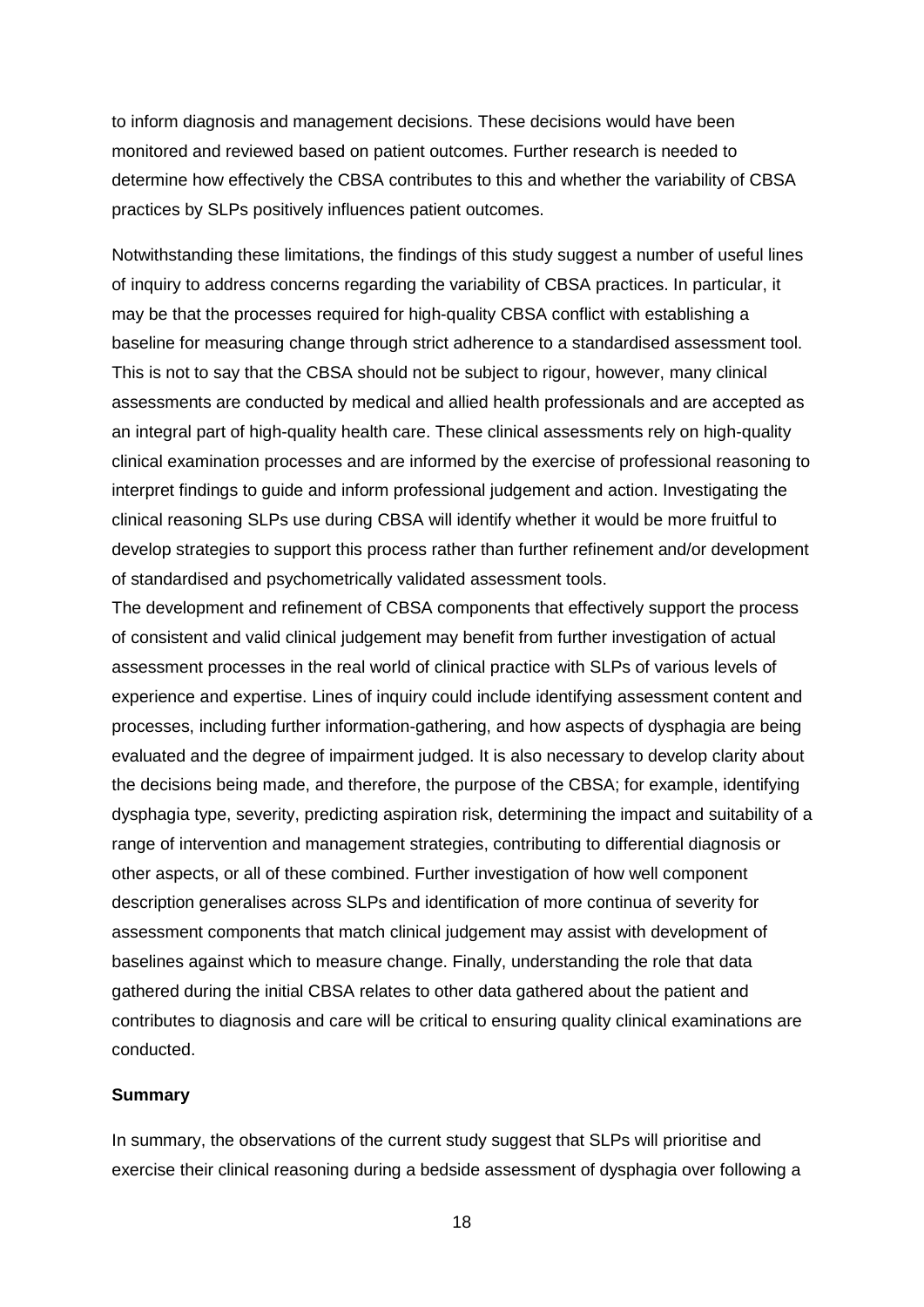to inform diagnosis and management decisions. These decisions would have been monitored and reviewed based on patient outcomes. Further research is needed to determine how effectively the CBSA contributes to this and whether the variability of CBSA practices by SLPs positively influences patient outcomes.

Notwithstanding these limitations, the findings of this study suggest a number of useful lines of inquiry to address concerns regarding the variability of CBSA practices. In particular, it may be that the processes required for high-quality CBSA conflict with establishing a baseline for measuring change through strict adherence to a standardised assessment tool. This is not to say that the CBSA should not be subject to rigour, however, many clinical assessments are conducted by medical and allied health professionals and are accepted as an integral part of high-quality health care. These clinical assessments rely on high-quality clinical examination processes and are informed by the exercise of professional reasoning to interpret findings to guide and inform professional judgement and action. Investigating the clinical reasoning SLPs use during CBSA will identify whether it would be more fruitful to develop strategies to support this process rather than further refinement and/or development of standardised and psychometrically validated assessment tools.

The development and refinement of CBSA components that effectively support the process of consistent and valid clinical judgement may benefit from further investigation of actual assessment processes in the real world of clinical practice with SLPs of various levels of experience and expertise. Lines of inquiry could include identifying assessment content and processes, including further information-gathering, and how aspects of dysphagia are being evaluated and the degree of impairment judged. It is also necessary to develop clarity about the decisions being made, and therefore, the purpose of the CBSA; for example, identifying dysphagia type, severity, predicting aspiration risk, determining the impact and suitability of a range of intervention and management strategies, contributing to differential diagnosis or other aspects, or all of these combined. Further investigation of how well component description generalises across SLPs and identification of more continua of severity for assessment components that match clinical judgement may assist with development of baselines against which to measure change. Finally, understanding the role that data gathered during the initial CBSA relates to other data gathered about the patient and contributes to diagnosis and care will be critical to ensuring quality clinical examinations are conducted.

#### **Summary**

In summary, the observations of the current study suggest that SLPs will prioritise and exercise their clinical reasoning during a bedside assessment of dysphagia over following a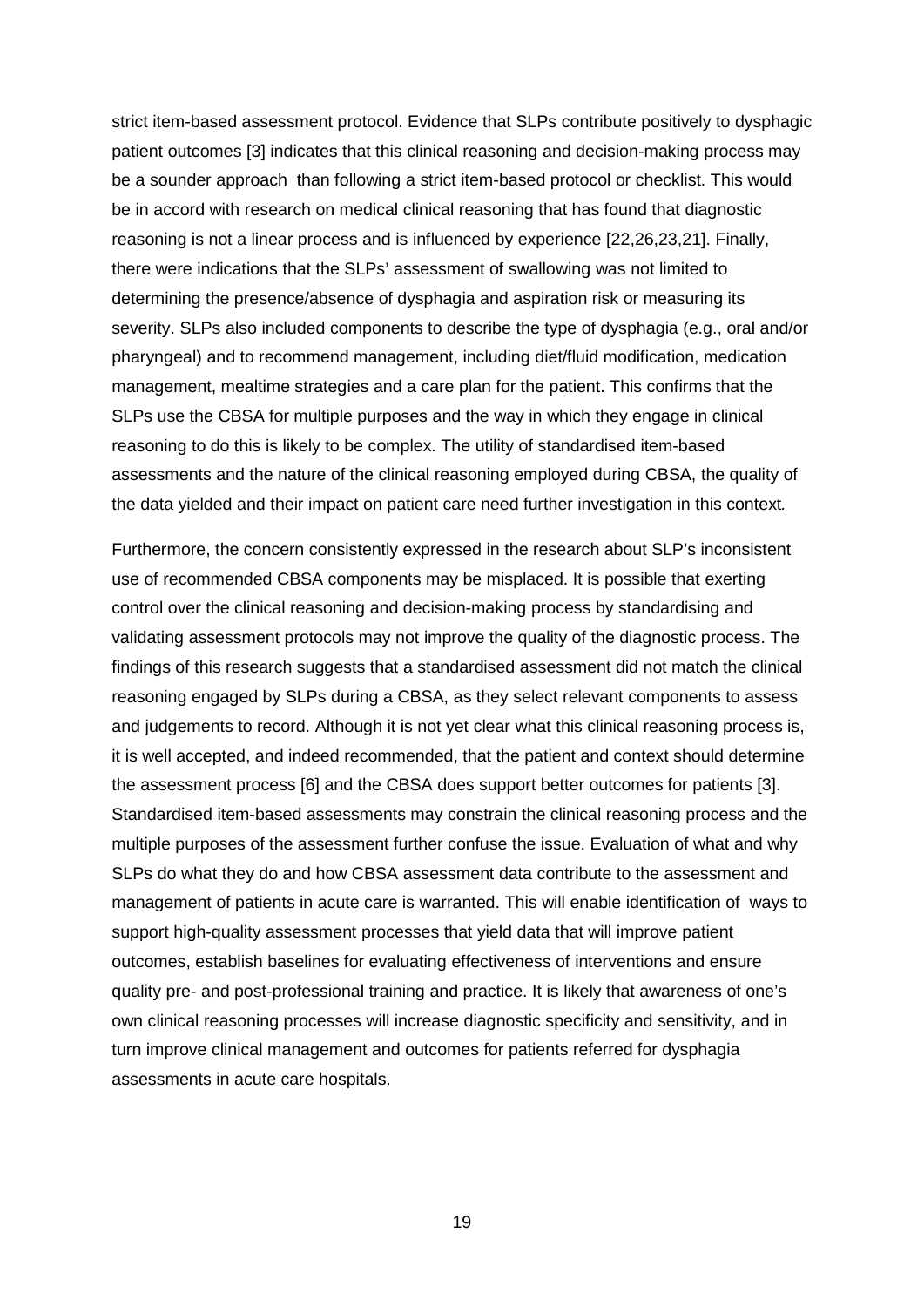strict item-based assessment protocol. Evidence that SLPs contribute positively to dysphagic patient outcomes [3] indicates that this clinical reasoning and decision-making process may be a sounder approach than following a strict item-based protocol or checklist. This would be in accord with research on medical clinical reasoning that has found that diagnostic reasoning is not a linear process and is influenced by experience [22,26,23,21]. Finally, there were indications that the SLPs' assessment of swallowing was not limited to determining the presence/absence of dysphagia and aspiration risk or measuring its severity. SLPs also included components to describe the type of dysphagia (e.g., oral and/or pharyngeal) and to recommend management, including diet/fluid modification, medication management, mealtime strategies and a care plan for the patient. This confirms that the SLPs use the CBSA for multiple purposes and the way in which they engage in clinical reasoning to do this is likely to be complex. The utility of standardised item-based assessments and the nature of the clinical reasoning employed during CBSA, the quality of the data yielded and their impact on patient care need further investigation in this context*.*

Furthermore, the concern consistently expressed in the research about SLP's inconsistent use of recommended CBSA components may be misplaced. It is possible that exerting control over the clinical reasoning and decision-making process by standardising and validating assessment protocols may not improve the quality of the diagnostic process. The findings of this research suggests that a standardised assessment did not match the clinical reasoning engaged by SLPs during a CBSA, as they select relevant components to assess and judgements to record. Although it is not yet clear what this clinical reasoning process is, it is well accepted, and indeed recommended, that the patient and context should determine the assessment process [6] and the CBSA does support better outcomes for patients [3]. Standardised item-based assessments may constrain the clinical reasoning process and the multiple purposes of the assessment further confuse the issue. Evaluation of what and why SLPs do what they do and how CBSA assessment data contribute to the assessment and management of patients in acute care is warranted. This will enable identification of ways to support high-quality assessment processes that yield data that will improve patient outcomes, establish baselines for evaluating effectiveness of interventions and ensure quality pre- and post-professional training and practice. It is likely that awareness of one's own clinical reasoning processes will increase diagnostic specificity and sensitivity, and in turn improve clinical management and outcomes for patients referred for dysphagia assessments in acute care hospitals.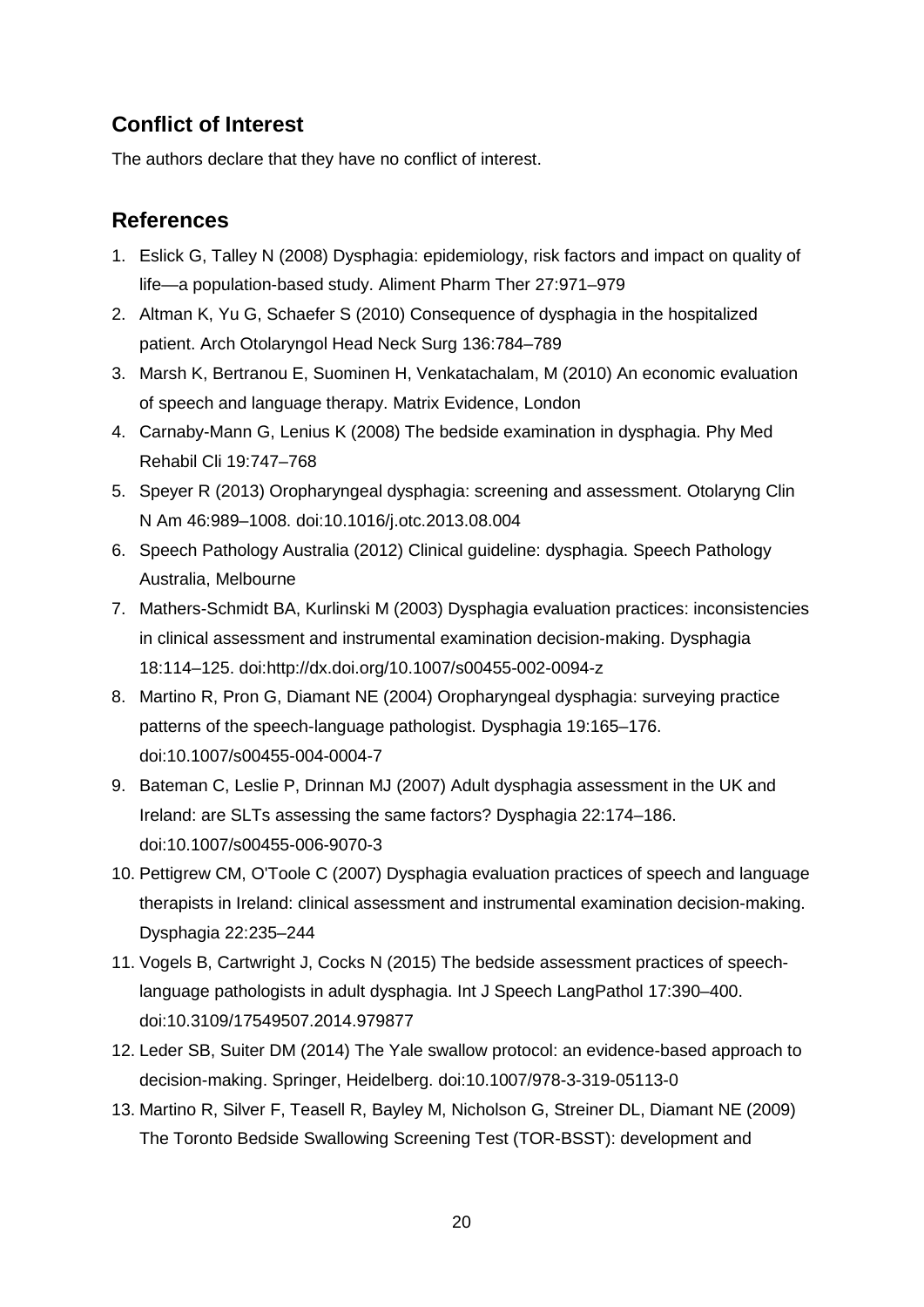# **Conflict of Interest**

The authors declare that they have no conflict of interest.

## **References**

- 1. Eslick G, Talley N (2008) Dysphagia: epidemiology, risk factors and impact on quality of life—a population-based study. Aliment Pharm Ther 27:971–979
- 2. Altman K, Yu G, Schaefer S (2010) Consequence of dysphagia in the hospitalized patient. Arch Otolaryngol Head Neck Surg 136:784–789
- 3. Marsh K, Bertranou E, Suominen H, Venkatachalam, M (2010) An economic evaluation of speech and language therapy. Matrix Evidence, London
- 4. Carnaby-Mann G, Lenius K (2008) The bedside examination in dysphagia. Phy Med Rehabil Cli 19:747–768
- 5. Speyer R (2013) Oropharyngeal dysphagia: screening and assessment. Otolaryng Clin N Am 46:989–1008. doi:10.1016/j.otc.2013.08.004
- 6. Speech Pathology Australia (2012) Clinical guideline: dysphagia. Speech Pathology Australia, Melbourne
- 7. Mathers-Schmidt BA, Kurlinski M (2003) Dysphagia evaluation practices: inconsistencies in clinical assessment and instrumental examination decision-making. Dysphagia 18:114–125. doi:http://dx.doi.org/10.1007/s00455-002-0094-z
- 8. Martino R, Pron G, Diamant NE (2004) Oropharyngeal dysphagia: surveying practice patterns of the speech-language pathologist. Dysphagia 19:165–176. doi:10.1007/s00455-004-0004-7
- 9. Bateman C, Leslie P, Drinnan MJ (2007) Adult dysphagia assessment in the UK and Ireland: are SLTs assessing the same factors? Dysphagia 22:174–186. doi:10.1007/s00455-006-9070-3
- 10. Pettigrew CM, O'Toole C (2007) Dysphagia evaluation practices of speech and language therapists in Ireland: clinical assessment and instrumental examination decision-making. Dysphagia 22:235–244
- 11. Vogels B, Cartwright J, Cocks N (2015) The bedside assessment practices of speechlanguage pathologists in adult dysphagia. Int J Speech LangPathol 17:390–400. doi:10.3109/17549507.2014.979877
- 12. Leder SB, Suiter DM (2014) The Yale swallow protocol: an evidence-based approach to decision-making. Springer, Heidelberg. doi:10.1007/978-3-319-05113-0
- 13. Martino R, Silver F, Teasell R, Bayley M, Nicholson G, Streiner DL, Diamant NE (2009) The Toronto Bedside Swallowing Screening Test (TOR-BSST): development and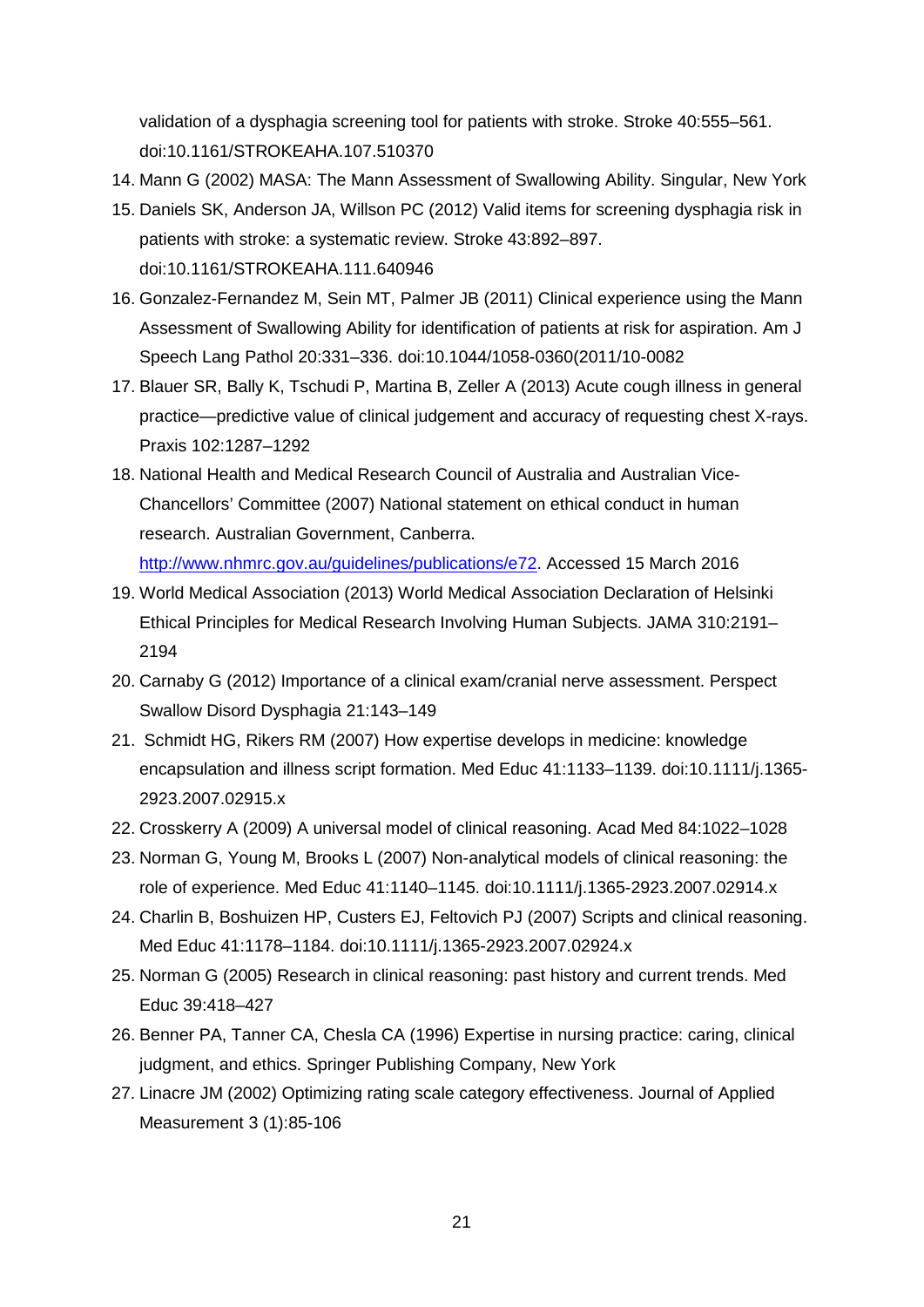validation of a dysphagia screening tool for patients with stroke. Stroke 40:555–561. doi:10.1161/STROKEAHA.107.510370

- 14. Mann G (2002) MASA: The Mann Assessment of Swallowing Ability. Singular, New York
- 15. Daniels SK, Anderson JA, Willson PC (2012) Valid items for screening dysphagia risk in patients with stroke: a systematic review. Stroke 43:892–897. doi:10.1161/STROKEAHA.111.640946
- 16. Gonzalez-Fernandez M, Sein MT, Palmer JB (2011) Clinical experience using the Mann Assessment of Swallowing Ability for identification of patients at risk for aspiration. Am J Speech Lang Pathol 20:331–336. doi:10.1044/1058-0360(2011/10-0082
- 17. Blauer SR, Bally K, Tschudi P, Martina B, Zeller A (2013) Acute cough illness in general practice—predictive value of clinical judgement and accuracy of requesting chest X-rays. Praxis 102:1287–1292
- 18. National Health and Medical Research Council of Australia and Australian Vice-Chancellors' Committee (2007) National statement on ethical conduct in human research. Australian Government, Canberra.

[http://www.nhmrc.gov.au/guidelines/publications/e72.](http://www.nhmrc.gov.au/guidelines/publications/e72) Accessed 15 March 2016

- 19. World Medical Association (2013) World Medical Association Declaration of Helsinki Ethical Principles for Medical Research Involving Human Subjects. JAMA 310:2191– 2194
- 20. Carnaby G (2012) Importance of a clinical exam/cranial nerve assessment. Perspect Swallow Disord Dysphagia 21:143–149
- 21. Schmidt HG, Rikers RM (2007) How expertise develops in medicine: knowledge encapsulation and illness script formation. Med Educ 41:1133–1139. doi:10.1111/j.1365- 2923.2007.02915.x
- 22. Crosskerry A (2009) A universal model of clinical reasoning. Acad Med 84:1022–1028
- 23. Norman G, Young M, Brooks L (2007) Non-analytical models of clinical reasoning: the role of experience. Med Educ 41:1140–1145. doi:10.1111/j.1365-2923.2007.02914.x
- 24. Charlin B, Boshuizen HP, Custers EJ, Feltovich PJ (2007) Scripts and clinical reasoning. Med Educ 41:1178–1184. doi:10.1111/j.1365-2923.2007.02924.x
- 25. Norman G (2005) Research in clinical reasoning: past history and current trends. Med Educ 39:418–427
- 26. Benner PA, Tanner CA, Chesla CA (1996) Expertise in nursing practice: caring, clinical judgment, and ethics. Springer Publishing Company, New York
- 27. Linacre JM (2002) Optimizing rating scale category effectiveness. Journal of Applied Measurement 3 (1):85-106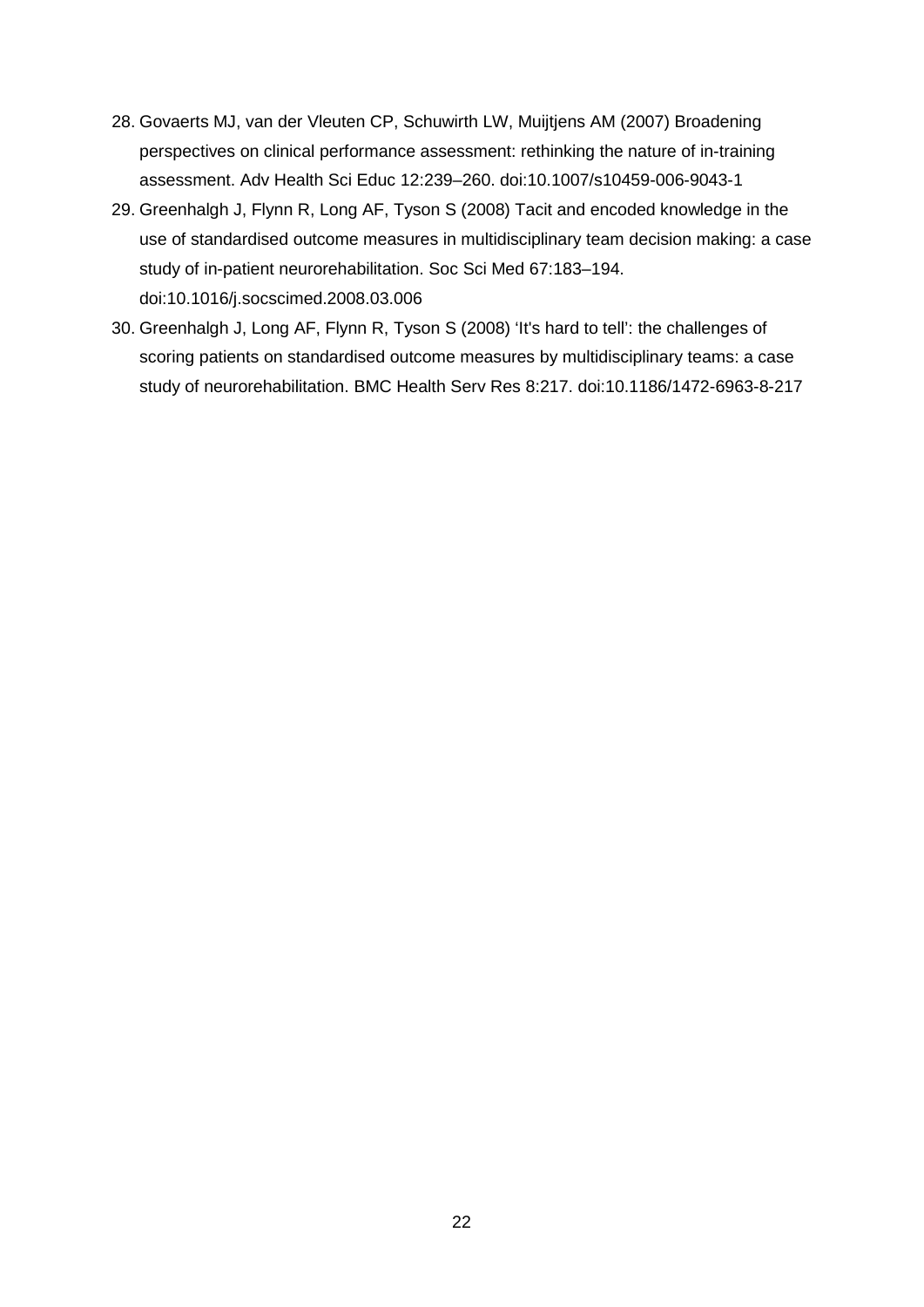- 28. Govaerts MJ, van der Vleuten CP, Schuwirth LW, Muijtjens AM (2007) Broadening perspectives on clinical performance assessment: rethinking the nature of in-training assessment. Adv Health Sci Educ 12:239–260. doi:10.1007/s10459-006-9043-1
- 29. Greenhalgh J, Flynn R, Long AF, Tyson S (2008) Tacit and encoded knowledge in the use of standardised outcome measures in multidisciplinary team decision making: a case study of in-patient neurorehabilitation. Soc Sci Med 67:183–194. doi:10.1016/j.socscimed.2008.03.006
- 30. Greenhalgh J, Long AF, Flynn R, Tyson S (2008) 'It's hard to tell': the challenges of scoring patients on standardised outcome measures by multidisciplinary teams: a case study of neurorehabilitation. BMC Health Serv Res 8:217. doi:10.1186/1472-6963-8-217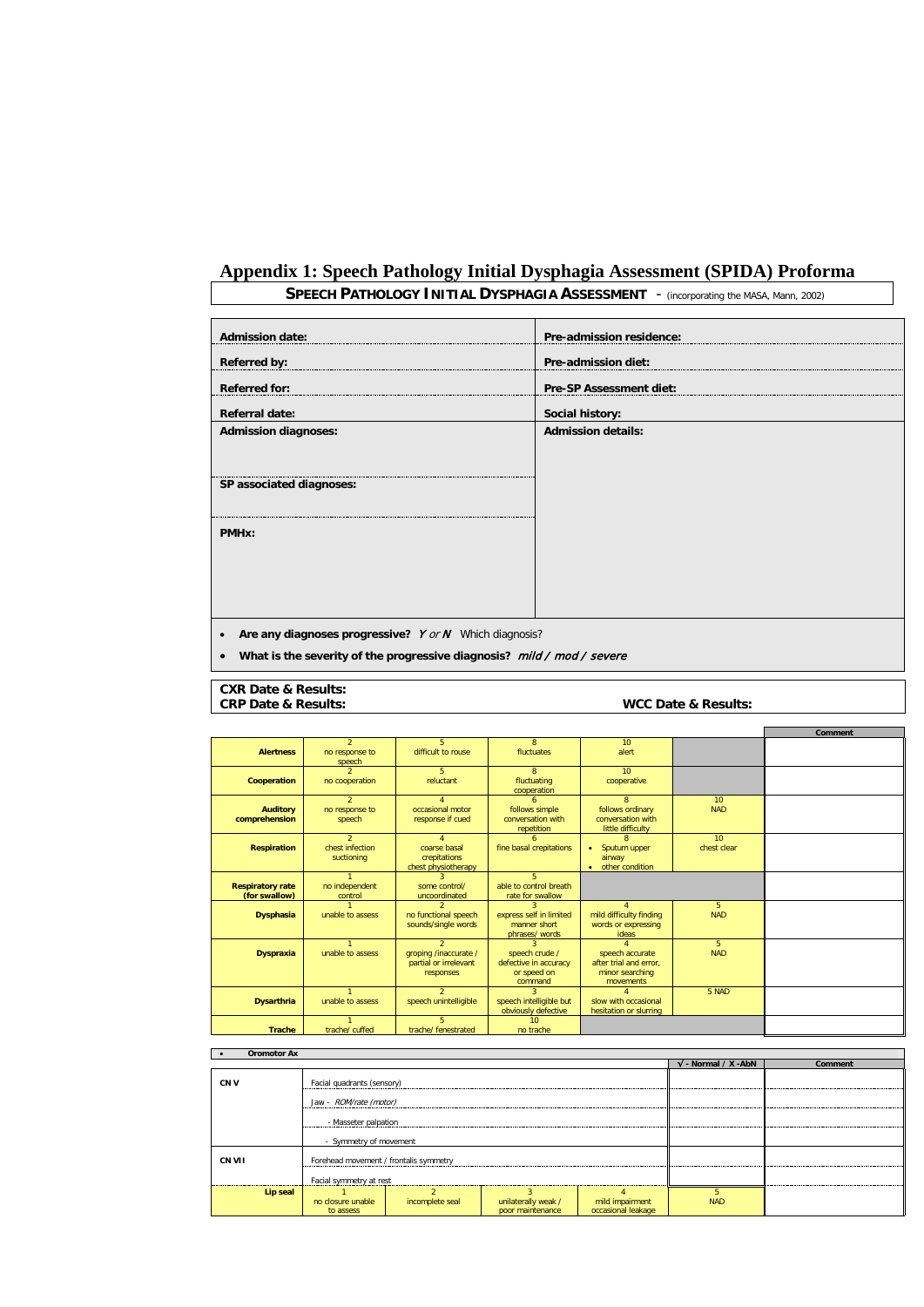## **Appendix 1: Speech Pathology Initial Dysphagia Assessment (SPIDA) Proforma SPEECH PATHOLOGY INITIAL DYSPHAGIA ASSESSMENT** - (incorporating the MASA, Mann, 2002)

| <b>Admission date:</b>                                          | Pre-admission residence:       |
|-----------------------------------------------------------------|--------------------------------|
| Referred by:                                                    | Pre-admission diet:            |
| <b>Referred for:</b>                                            | <b>Pre-SP Assessment diet:</b> |
| Referral date:                                                  | Social history:                |
| <b>Admission diagnoses:</b>                                     | <b>Admission details:</b>      |
|                                                                 |                                |
| SP associated diagnoses:                                        |                                |
|                                                                 |                                |
| PMHx:                                                           |                                |
|                                                                 |                                |
|                                                                 |                                |
|                                                                 |                                |
|                                                                 |                                |
| • Are any diagnoses progressive? <i>Y or N</i> Which diagnosis? |                                |

• **What is the severity of the progressive diagnosis?** mild / mod / severe

**CXR Date & Results:**

**CRP Date & Results: WCC Date & Results:**

|                                          |                                                |                                                                               |                                                                           |                                                                                       |                                 | Comment |
|------------------------------------------|------------------------------------------------|-------------------------------------------------------------------------------|---------------------------------------------------------------------------|---------------------------------------------------------------------------------------|---------------------------------|---------|
| <b>Alertness</b>                         | $\mathcal{D}$<br>no response to<br>speech      | 5<br>difficult to rouse                                                       | $\mathbf{R}$<br>fluctuates                                                | 10 <sup>10</sup><br>alert                                                             |                                 |         |
| Cooperation                              | $\mathcal{L}$<br>no cooperation                | 5.<br>reluctant                                                               | $\mathbf{R}$<br>fluctuating<br>cooperation                                | 10 <sup>10</sup><br>cooperative                                                       |                                 |         |
| <b>Auditory</b><br>comprehension         | $\mathcal{P}$<br>no response to<br>speech      | occasional motor<br>response if cued                                          | follows simple<br>conversation with<br>repetition                         | $\mathbf{R}$<br>follows ordinary<br>conversation with<br>little difficulty            | 10 <sup>10</sup><br><b>NAD</b>  |         |
| <b>Respiration</b>                       | $\mathcal{P}$<br>chest infection<br>suctioning | $\Delta$<br>coarse basal<br>crepitations<br>chest physiotherapy               | $\overline{a}$<br>fine basal crepitations                                 | $\mathbf{R}$<br>Sputum upper<br>airway<br>other condition                             | 10 <sup>10</sup><br>chest clear |         |
| <b>Respiratory rate</b><br>(for swallow) | no independent<br>control                      | some control/<br>uncoordinated                                                | $\overline{5}$<br>able to control breath<br>rate for swallow              |                                                                                       |                                 |         |
| <b>Dysphasia</b>                         | unable to assess                               | $\mathcal{D}$<br>no functional speech<br>sounds/single words                  | $\mathbf{R}$<br>express self in limited<br>manner short<br>phrases/ words | $\mathbf{A}$<br>mild difficulty finding<br>words or expressing<br><b>ideas</b>        | 5 <sup>1</sup><br><b>NAD</b>    |         |
| <b>Dyspraxia</b>                         | unable to assess                               | $\mathfrak{D}$<br>groping /inaccurate /<br>partial or irrelevant<br>responses | २<br>speech crude /<br>defective in accuracy<br>or speed on<br>command    | $\Delta$<br>speech accurate<br>after trial and error.<br>minor searching<br>movements | 5 <sup>1</sup><br><b>NAD</b>    |         |
| <b>Dysarthria</b>                        | unable to assess                               | $\mathcal{L}$<br>speech unintelligible                                        | speech intelligible but<br>obviously defective                            | slow with occasional<br>hesitation or slurring                                        | 5 NAD                           |         |
| <b>Trache</b>                            | trache/ cuffed                                 | 5.<br>trache/ fenestrated                                                     | 10<br>no trache                                                           |                                                                                       |                                 |         |

| <b>Oromotor Ax</b> |                                        |                                      |                                                                            |  |            |  |  |
|--------------------|----------------------------------------|--------------------------------------|----------------------------------------------------------------------------|--|------------|--|--|
|                    |                                        | $\sqrt{\sqrt{2}}$ - Normal / X - AbN | Comment                                                                    |  |            |  |  |
| CN V               |                                        |                                      |                                                                            |  |            |  |  |
|                    | Jaw - ROM/rate (motor)                 |                                      |                                                                            |  |            |  |  |
|                    | - Masseter palpation                   |                                      |                                                                            |  |            |  |  |
|                    | - Symmetry of movement                 |                                      |                                                                            |  |            |  |  |
| CN VII             | Forehead movement / frontalis symmetry |                                      |                                                                            |  |            |  |  |
|                    | Facial symmetry at rest                |                                      |                                                                            |  |            |  |  |
| Lip seal           |                                        |                                      |                                                                            |  |            |  |  |
|                    | no closure unable<br>to assess         | incomplete seal                      | unilaterally weak / mild impairment<br>poor maintenance occasional leakage |  | <b>NAD</b> |  |  |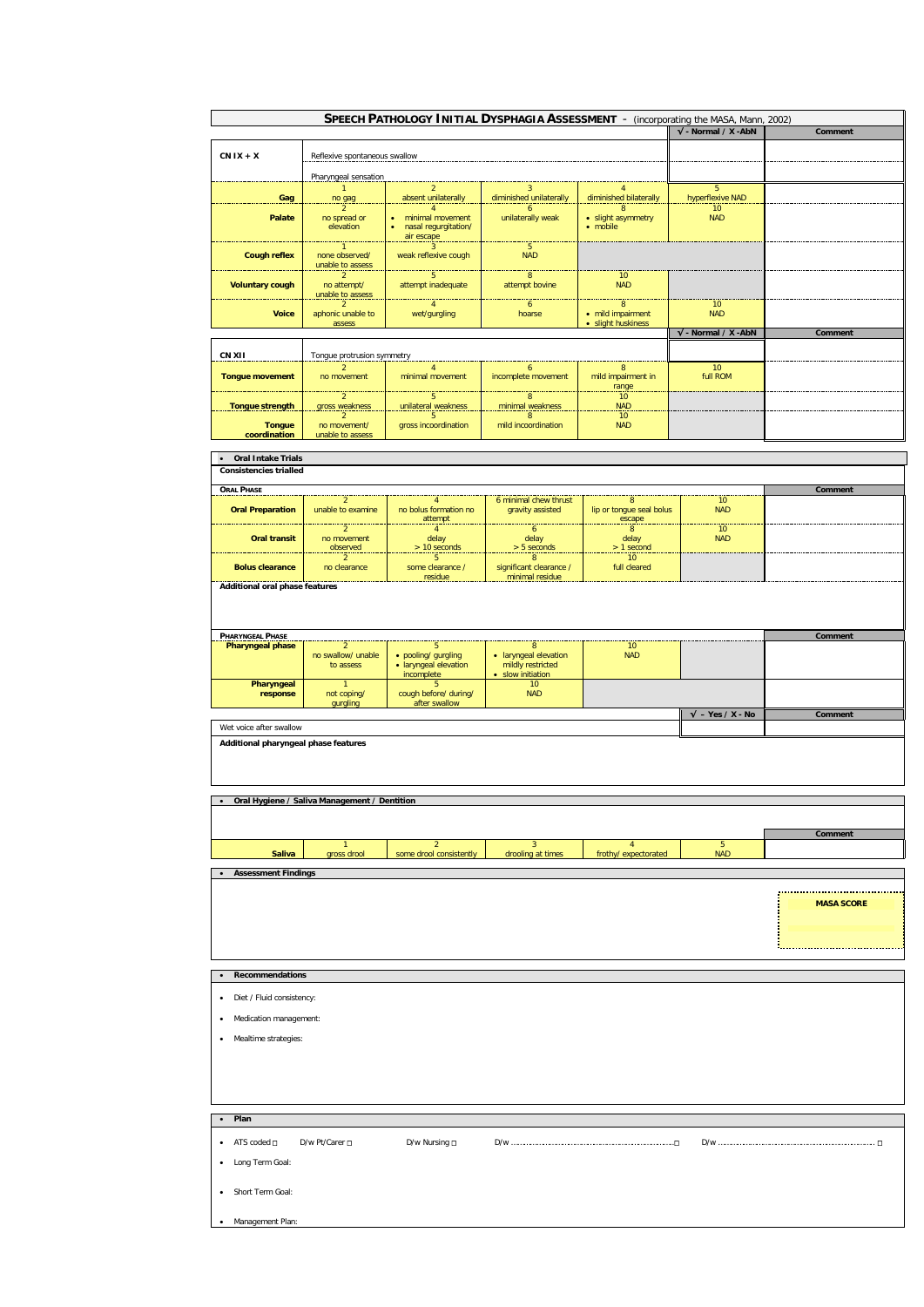|                                                                               |                                                       |                                                                                                | SPEECH PATHOLOGY INITIAL DYSPHAGIA ASSESSMENT - (incorporating the MASA, Mann, 2002) |                                                                     | $\sqrt{\ }$ - Normal / X -AbN          | Comment           |
|-------------------------------------------------------------------------------|-------------------------------------------------------|------------------------------------------------------------------------------------------------|--------------------------------------------------------------------------------------|---------------------------------------------------------------------|----------------------------------------|-------------------|
| $CN IX + X$                                                                   | Reflexive spontaneous swallow                         |                                                                                                |                                                                                      |                                                                     |                                        |                   |
|                                                                               | Pharyngeal sensation<br>$\overline{1}$                | $\overline{2}$                                                                                 | 3                                                                                    | $\overline{4}$                                                      | 5                                      |                   |
| Gag<br><b>Palate</b>                                                          | no gag<br>$\overline{2}$<br>no spread or<br>elevation | absent unilaterally<br>$\overline{4}$<br>minimal movement<br>nasal regurgitation/<br>$\bullet$ | diminished unilaterally<br>6<br>unilaterally weak                                    | diminished bilaterally<br>$\bf 8$<br>· slight asymmetry<br>• mobile | hyperflexive NAD<br>$10$<br><b>NAD</b> |                   |
| <b>Cough reflex</b>                                                           | $\overline{1}$<br>none observed/<br>unable to assess  | air escape<br>$\overline{\mathbf{3}}$<br>weak reflexive cough                                  | $\overline{5}$<br><b>NAD</b>                                                         |                                                                     |                                        |                   |
| <b>Voluntary cough</b>                                                        | $\overline{2}$<br>no attempt/<br>unable to assess     | attempt inadequate                                                                             | $\overline{8}$<br>attempt bovine                                                     | $\overline{10}$<br><b>NAD</b>                                       |                                        |                   |
| <b>Voice</b>                                                                  | 2 <sup>7</sup><br>aphonic unable to                   | $\frac{1}{4}$<br>wet/gurgling                                                                  | 6 <sup>1</sup><br>hoarse                                                             | $\bf 8$<br>• mild impairment<br>· slight huskiness                  | 10<br><b>NAD</b>                       |                   |
|                                                                               | assess                                                |                                                                                                |                                                                                      |                                                                     | $\sqrt{\ }$ - Normal / X -AbN          | Comment           |
| CN XII                                                                        | Tongue protrusion symmetry<br>$\overline{2}$          |                                                                                                | 6                                                                                    | 8                                                                   | 10                                     |                   |
| <b>Tongue movement</b>                                                        | no movement<br>$\frac{1}{2}$                          | minimal movement                                                                               | incomplete movement<br>$\overline{8}$                                                | mild impairment in<br>range<br>10                                   | full ROM                               |                   |
| Tongue strength                                                               | gross weakness<br>$\overline{2}$                      | unilateral weakness<br>5 <sub>1</sub>                                                          | minimal weakness<br>8                                                                | <b>NAD</b><br>10                                                    |                                        |                   |
| <b>Tongue</b><br>coordination                                                 | no movement/<br>unable to assess                      | gross incoordination                                                                           | mild incoordination                                                                  | <b>NAD</b>                                                          |                                        |                   |
| <b>Oral Intake Trials</b><br><b>Consistencies trialled</b>                    |                                                       |                                                                                                |                                                                                      |                                                                     |                                        |                   |
| <b>ORAL PHASE</b>                                                             |                                                       |                                                                                                |                                                                                      |                                                                     |                                        | Comment           |
| <b>Oral Preparation</b>                                                       | $\overline{2}$<br>unable to examine                   | $\overline{4}$<br>no bolus formation no<br>attempt                                             | 6 minimal chew thrust<br>gravity assisted                                            | 8<br>lip or tongue seal bolus<br>escape                             | 10<br><b>NAD</b>                       |                   |
| <b>Oral transit</b>                                                           | no movement<br>observed                               | $\overline{4}$<br>delay<br>$> 10$ seconds                                                      | -6<br>delay<br>$> 5$ seconds                                                         | $\boldsymbol{8}$<br>delay<br>$> 1$ second                           | $\overline{10}$<br><b>NAD</b>          |                   |
| <b>Bolus clearance</b>                                                        | $\overline{2}$<br>no clearance                        | 5<br>some clearance /                                                                          | 8 <sup>°</sup><br>significant clearance /                                            | 10 <sup>°</sup><br>full cleared                                     |                                        |                   |
| <b>Additional oral phase features</b>                                         |                                                       | residue                                                                                        | minimal residue                                                                      |                                                                     |                                        |                   |
|                                                                               |                                                       |                                                                                                |                                                                                      |                                                                     |                                        |                   |
| PHARYNGEAL PHASE                                                              |                                                       |                                                                                                |                                                                                      |                                                                     |                                        | Comment           |
| <b>Pharyngeal phase</b>                                                       | $\overline{2}$<br>no swallow/ unable<br>to assess     | $\overline{5}$<br>• pooling/ gurgling<br>· laryngeal elevation<br>incomplete                   | $\overline{8}$<br>· laryngeal elevation<br>mildly restricted<br>· slow initiation    | 10<br><b>NAD</b>                                                    |                                        |                   |
| Pharyngeal<br>response                                                        | $\mathbf{1}$<br>not coping/<br>gurgling               | 5<br>cough before/ during/<br>after swallow                                                    | 10 <sup>°</sup><br><b>NAD</b>                                                        |                                                                     |                                        |                   |
| Wet voice after swallow                                                       |                                                       |                                                                                                |                                                                                      |                                                                     | $\sqrt{-Y}$ es / X - No                | Comment           |
| Additional pharyngeal phase features                                          |                                                       |                                                                                                |                                                                                      |                                                                     |                                        |                   |
|                                                                               |                                                       |                                                                                                |                                                                                      |                                                                     |                                        |                   |
|                                                                               | Oral Hygiene / Saliva Management / Dentition          |                                                                                                |                                                                                      |                                                                     |                                        |                   |
|                                                                               |                                                       |                                                                                                |                                                                                      |                                                                     |                                        |                   |
| <b>Saliva</b>                                                                 | $\mathbf{1}$<br>gross drool                           | $\overline{2}$<br>some drool consistently                                                      | 3<br>drooling at times                                                               | $\overline{4}$<br>frothy/ expectorated                              | 5<br><b>NAD</b>                        | Comment           |
| <b>Assessment Findings</b>                                                    |                                                       |                                                                                                |                                                                                      |                                                                     |                                        |                   |
|                                                                               |                                                       |                                                                                                |                                                                                      |                                                                     |                                        | <b>MASA SCORE</b> |
|                                                                               |                                                       |                                                                                                |                                                                                      |                                                                     |                                        |                   |
| <b>Recommendations</b><br>$\bullet$                                           |                                                       |                                                                                                |                                                                                      |                                                                     |                                        |                   |
| Diet / Fluid consistency:<br>$\bullet$<br>Medication management:<br>$\bullet$ |                                                       |                                                                                                |                                                                                      |                                                                     |                                        |                   |
| Mealtime strategies:<br>٠                                                     |                                                       |                                                                                                |                                                                                      |                                                                     |                                        |                   |
|                                                                               |                                                       |                                                                                                |                                                                                      |                                                                     |                                        |                   |
|                                                                               |                                                       |                                                                                                |                                                                                      |                                                                     |                                        |                   |
|                                                                               |                                                       |                                                                                                |                                                                                      |                                                                     |                                        |                   |
| Plan<br>$\bullet$                                                             |                                                       |                                                                                                |                                                                                      |                                                                     |                                        |                   |
| ATS coded D<br>$\bullet$<br>Long Term Goal:<br>$\bullet$                      | D/w Pt/Carer D                                        | D/w Nursing D                                                                                  |                                                                                      |                                                                     |                                        |                   |
|                                                                               |                                                       |                                                                                                |                                                                                      |                                                                     |                                        |                   |
| Short Term Goal:<br>$\bullet$                                                 |                                                       |                                                                                                |                                                                                      |                                                                     |                                        |                   |
| Management Plan:                                                              |                                                       |                                                                                                |                                                                                      |                                                                     |                                        |                   |